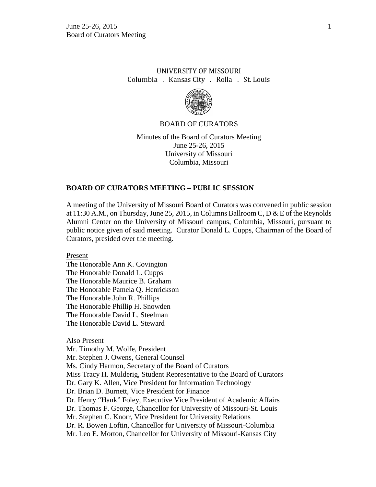# UNIVERSITY OF MISSOURI Columbia . Kansas City . Rolla . St. Louis



### BOARD OF CURATORS

Minutes of the Board of Curators Meeting June 25-26, 2015 University of Missouri Columbia, Missouri

### **BOARD OF CURATORS MEETING – PUBLIC SESSION**

A meeting of the University of Missouri Board of Curators was convened in public session at 11:30 A.M., on Thursday, June 25, 2015, in Columns Ballroom C,  $D & E$  of the Reynolds Alumni Center on the University of Missouri campus, Columbia, Missouri, pursuant to public notice given of said meeting. Curator Donald L. Cupps, Chairman of the Board of Curators, presided over the meeting.

Present

The Honorable Ann K. Covington The Honorable Donald L. Cupps The Honorable Maurice B. Graham The Honorable Pamela Q. Henrickson The Honorable John R. Phillips The Honorable Phillip H. Snowden The Honorable David L. Steelman The Honorable David L. Steward

#### Also Present

Mr. Timothy M. Wolfe, President Mr. Stephen J. Owens, General Counsel Ms. Cindy Harmon, Secretary of the Board of Curators Miss Tracy H. Mulderig, Student Representative to the Board of Curators Dr. Gary K. Allen, Vice President for Information Technology Dr. Brian D. Burnett, Vice President for Finance Dr. Henry "Hank" Foley, Executive Vice President of Academic Affairs Dr. Thomas F. George, Chancellor for University of Missouri-St. Louis Mr. Stephen C. Knorr, Vice President for University Relations Dr. R. Bowen Loftin, Chancellor for University of Missouri-Columbia Mr. Leo E. Morton, Chancellor for University of Missouri-Kansas City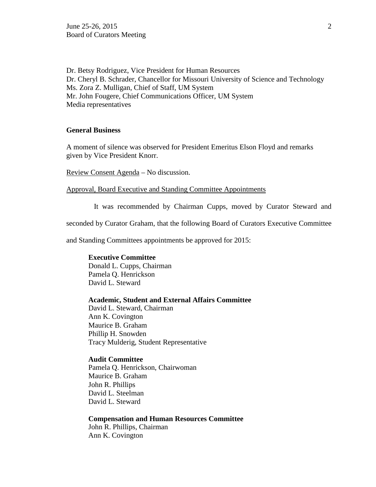Dr. Betsy Rodriguez, Vice President for Human Resources Dr. Cheryl B. Schrader, Chancellor for Missouri University of Science and Technology Ms. Zora Z. Mulligan, Chief of Staff, UM System Mr. John Fougere, Chief Communications Officer, UM System Media representatives

## **General Business**

A moment of silence was observed for President Emeritus Elson Floyd and remarks given by Vice President Knorr.

Review Consent Agenda – No discussion.

Approval, Board Executive and Standing Committee Appointments

It was recommended by Chairman Cupps, moved by Curator Steward and

seconded by Curator Graham, that the following Board of Curators Executive Committee

and Standing Committees appointments be approved for 2015:

## **Executive Committee**

Donald L. Cupps, Chairman Pamela Q. Henrickson David L. Steward

#### **Academic, Student and External Affairs Committee**

David L. Steward, Chairman Ann K. Covington Maurice B. Graham Phillip H. Snowden Tracy Mulderig, Student Representative

### **Audit Committee**

Pamela Q. Henrickson, Chairwoman Maurice B. Graham John R. Phillips David L. Steelman David L. Steward

#### **Compensation and Human Resources Committee**

John R. Phillips, Chairman Ann K. Covington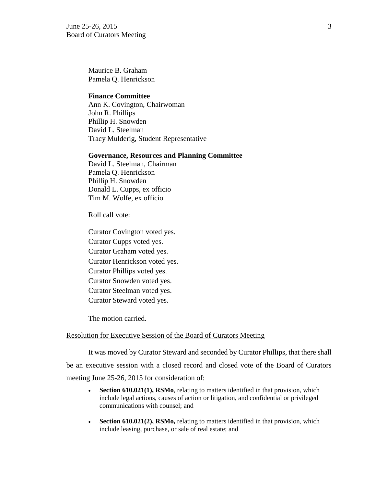June 25-26, 2015  $\frac{3}{2}$ Board of Curators Meeting

Maurice B. Graham Pamela Q. Henrickson

### **Finance Committee**

Ann K. Covington, Chairwoman John R. Phillips Phillip H. Snowden David L. Steelman Tracy Mulderig, Student Representative

#### **Governance, Resources and Planning Committee**

David L. Steelman, Chairman Pamela Q. Henrickson Phillip H. Snowden Donald L. Cupps, ex officio Tim M. Wolfe, ex officio

Roll call vote:

Curator Covington voted yes. Curator Cupps voted yes. Curator Graham voted yes. Curator Henrickson voted yes. Curator Phillips voted yes. Curator Snowden voted yes. Curator Steelman voted yes. Curator Steward voted yes.

The motion carried.

## Resolution for Executive Session of the Board of Curators Meeting

It was moved by Curator Steward and seconded by Curator Phillips, that there shall be an executive session with a closed record and closed vote of the Board of Curators meeting June 25-26, 2015 for consideration of:

- **Section 610.021(1), RSMo**, relating to matters identified in that provision, which include legal actions, causes of action or litigation, and confidential or privileged communications with counsel; and
- **Section 610.021(2), RSMo,** relating to matters identified in that provision, which include leasing, purchase, or sale of real estate; and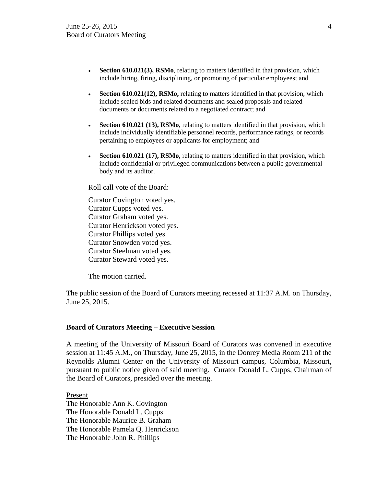- **Section 610.021(3), RSMo**, relating to matters identified in that provision, which include hiring, firing, disciplining, or promoting of particular employees; and
- **Section 610.021(12), RSMo,** relating to matters identified in that provision, which include sealed bids and related documents and sealed proposals and related documents or documents related to a negotiated contract; and
- **Section 610.021 (13), RSMo**, relating to matters identified in that provision, which include individually identifiable personnel records, performance ratings, or records pertaining to employees or applicants for employment; and
- **Section 610.021 (17), RSMo**, relating to matters identified in that provision, which include confidential or privileged communications between a public governmental body and its auditor.

Roll call vote of the Board:

Curator Covington voted yes. Curator Cupps voted yes. Curator Graham voted yes. Curator Henrickson voted yes. Curator Phillips voted yes. Curator Snowden voted yes. Curator Steelman voted yes. Curator Steward voted yes.

The motion carried.

The public session of the Board of Curators meeting recessed at 11:37 A.M. on Thursday, June 25, 2015.

### **Board of Curators Meeting – Executive Session**

A meeting of the University of Missouri Board of Curators was convened in executive session at 11:45 A.M., on Thursday, June 25, 2015, in the Donrey Media Room 211 of the Reynolds Alumni Center on the University of Missouri campus, Columbia, Missouri, pursuant to public notice given of said meeting. Curator Donald L. Cupps, Chairman of the Board of Curators, presided over the meeting.

Present The Honorable Ann K. Covington The Honorable Donald L. Cupps The Honorable Maurice B. Graham The Honorable Pamela Q. Henrickson The Honorable John R. Phillips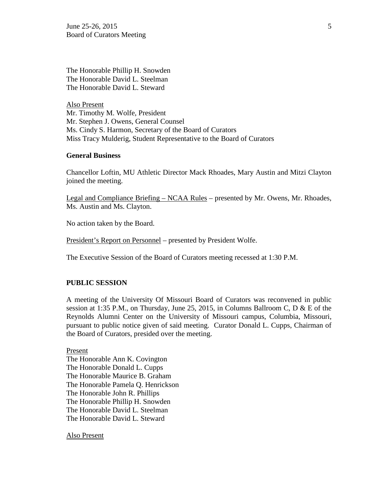June 25-26, 2015  $\frac{5}{5}$ Board of Curators Meeting

The Honorable Phillip H. Snowden The Honorable David L. Steelman The Honorable David L. Steward

Also Present Mr. Timothy M. Wolfe, President Mr. Stephen J. Owens, General Counsel Ms. Cindy S. Harmon, Secretary of the Board of Curators Miss Tracy Mulderig, Student Representative to the Board of Curators

## **General Business**

Chancellor Loftin, MU Athletic Director Mack Rhoades, Mary Austin and Mitzi Clayton joined the meeting.

Legal and Compliance Briefing – NCAA Rules – presented by Mr. Owens, Mr. Rhoades, Ms. Austin and Ms. Clayton.

No action taken by the Board.

President's Report on Personnel – presented by President Wolfe.

The Executive Session of the Board of Curators meeting recessed at 1:30 P.M.

#### **PUBLIC SESSION**

A meeting of the University Of Missouri Board of Curators was reconvened in public session at 1:35 P.M., on Thursday, June 25, 2015, in Columns Ballroom C, D & E of the Reynolds Alumni Center on the University of Missouri campus, Columbia, Missouri, pursuant to public notice given of said meeting. Curator Donald L. Cupps, Chairman of the Board of Curators, presided over the meeting.

Present The Honorable Ann K. Covington The Honorable Donald L. Cupps The Honorable Maurice B. Graham The Honorable Pamela Q. Henrickson The Honorable John R. Phillips The Honorable Phillip H. Snowden The Honorable David L. Steelman The Honorable David L. Steward

Also Present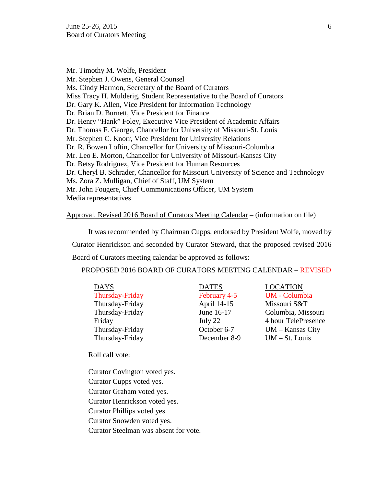Mr. Timothy M. Wolfe, President Mr. Stephen J. Owens, General Counsel Ms. Cindy Harmon, Secretary of the Board of Curators Miss Tracy H. Mulderig, Student Representative to the Board of Curators Dr. Gary K. Allen, Vice President for Information Technology Dr. Brian D. Burnett, Vice President for Finance Dr. Henry "Hank" Foley, Executive Vice President of Academic Affairs Dr. Thomas F. George, Chancellor for University of Missouri-St. Louis Mr. Stephen C. Knorr, Vice President for University Relations Dr. R. Bowen Loftin, Chancellor for University of Missouri-Columbia Mr. Leo E. Morton, Chancellor for University of Missouri-Kansas City Dr. Betsy Rodriguez, Vice President for Human Resources Dr. Cheryl B. Schrader, Chancellor for Missouri University of Science and Technology Ms. Zora Z. Mulligan, Chief of Staff, UM System Mr. John Fougere, Chief Communications Officer, UM System Media representatives

## Approval, Revised 2016 Board of Curators Meeting Calendar – (information on file)

It was recommended by Chairman Cupps, endorsed by President Wolfe, moved by Curator Henrickson and seconded by Curator Steward, that the proposed revised 2016 Board of Curators meeting calendar be approved as follows:

PROPOSED 2016 BOARD OF CURATORS MEETING CALENDAR – REVISED

| <b>DAYS</b>     | <b>DATES</b> | <b>LOCATION</b>    |
|-----------------|--------------|--------------------|
| Thursday-Friday | February 4-5 | <b>UM</b> - Columl |
| Thursday-Friday | April 14-15  | Missouri S&        |
| Thursday-Friday | June 16-17   | Columbia, M        |
| Friday          | July 22      | 4 hour TeleP       |
| Thursday-Friday | October 6-7  | UM - Kansas        |
| Thursday-Friday | December 8-9 | $UM - St.$ Lou     |

February 4-5 UM - Columbia December 8-9 UM – St. Louis

April 14-15 Missouri S&T June 16-17 Columbia, Missouri July 22 4 hour TelePresence October 6-7 UM – Kansas City

Roll call vote:

Curator Covington voted yes. Curator Cupps voted yes. Curator Graham voted yes. Curator Henrickson voted yes. Curator Phillips voted yes. Curator Snowden voted yes. Curator Steelman was absent for vote.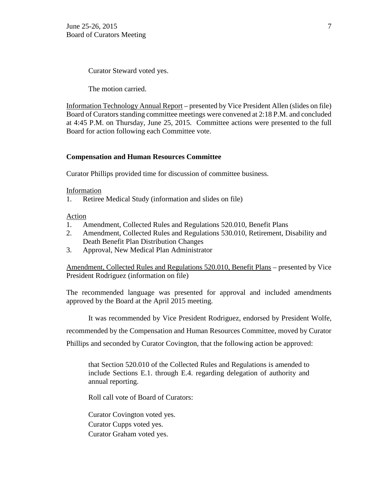Curator Steward voted yes.

The motion carried.

Information Technology Annual Report – presented by Vice President Allen (slides on file) Board of Curators standing committee meetings were convened at 2:18 P.M. and concluded at 4:45 P.M. on Thursday, June 25, 2015. Committee actions were presented to the full Board for action following each Committee vote.

## **Compensation and Human Resources Committee**

Curator Phillips provided time for discussion of committee business.

Information

1. Retiree Medical Study (information and slides on file)

Action

- 1. Amendment, Collected Rules and Regulations 520.010, Benefit Plans
- 2. Amendment, Collected Rules and Regulations 530.010, Retirement, Disability and Death Benefit Plan Distribution Changes
- 3. Approval, New Medical Plan Administrator

Amendment, Collected Rules and Regulations 520.010, Benefit Plans – presented by Vice President Rodriguez (information on file)

The recommended language was presented for approval and included amendments approved by the Board at the April 2015 meeting.

It was recommended by Vice President Rodriguez, endorsed by President Wolfe,

recommended by the Compensation and Human Resources Committee, moved by Curator

Phillips and seconded by Curator Covington, that the following action be approved:

that Section 520.010 of the Collected Rules and Regulations is amended to include Sections E.1. through E.4. regarding delegation of authority and annual reporting.

Roll call vote of Board of Curators:

Curator Covington voted yes. Curator Cupps voted yes. Curator Graham voted yes.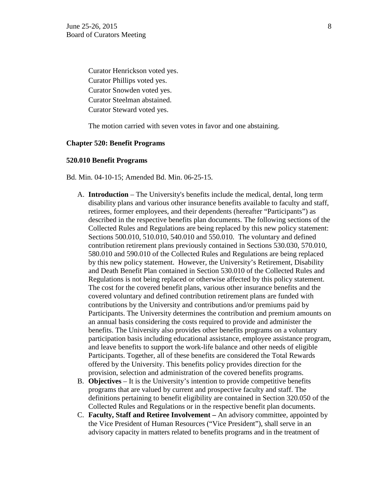Curator Henrickson voted yes. Curator Phillips voted yes. Curator Snowden voted yes. Curator Steelman abstained. Curator Steward voted yes.

The motion carried with seven votes in favor and one abstaining.

## **Chapter 520: Benefit Programs**

## **520.010 Benefit Programs**

- Bd. Min. 04-10-15; Amended Bd. Min. 06-25-15.
	- A. **Introduction** The University's benefits include the medical, dental, long term disability plans and various other insurance benefits available to faculty and staff, retirees, former employees, and their dependents (hereafter "Participants") as described in the respective benefits plan documents. The following sections of the Collected Rules and Regulations are being replaced by this new policy statement: Sections 500.010, 510.010, 540.010 and 550.010. The voluntary and defined contribution retirement plans previously contained in Sections 530.030, 570.010, 580.010 and 590.010 of the Collected Rules and Regulations are being replaced by this new policy statement. However, the University's Retirement, Disability and Death Benefit Plan contained in Section 530.010 of the Collected Rules and Regulations is not being replaced or otherwise affected by this policy statement. The cost for the covered benefit plans, various other insurance benefits and the covered voluntary and defined contribution retirement plans are funded with contributions by the University and contributions and/or premiums paid by Participants. The University determines the contribution and premium amounts on an annual basis considering the costs required to provide and administer the benefits. The University also provides other benefits programs on a voluntary participation basis including educational assistance, employee assistance program, and leave benefits to support the work-life balance and other needs of eligible Participants. Together, all of these benefits are considered the Total Rewards offered by the University. This benefits policy provides direction for the provision, selection and administration of the covered benefits programs.
	- B. **Objectives** *–* It is the University's intention to provide competitive benefits programs that are valued by current and prospective faculty and staff. The definitions pertaining to benefit eligibility are contained in Section 320.050 of the Collected Rules and Regulations or in the respective benefit plan documents.
	- C. **Faculty, Staff and Retiree Involvement –** An advisory committee, appointed by the Vice President of Human Resources ("Vice President"), shall serve in an advisory capacity in matters related to benefits programs and in the treatment of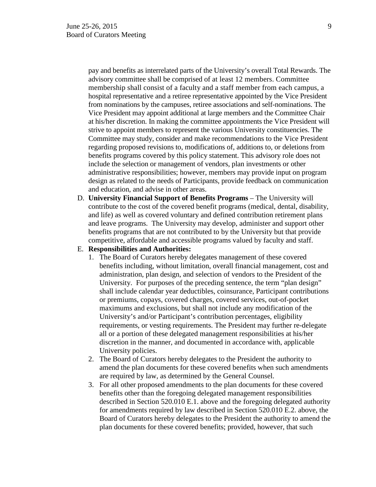pay and benefits as interrelated parts of the University's overall Total Rewards. The advisory committee shall be comprised of at least 12 members. Committee membership shall consist of a faculty and a staff member from each campus, a hospital representative and a retiree representative appointed by the Vice President from nominations by the campuses, retiree associations and self-nominations. The Vice President may appoint additional at large members and the Committee Chair at his/her discretion. In making the committee appointments the Vice President will strive to appoint members to represent the various University constituencies. The Committee may study, consider and make recommendations to the Vice President regarding proposed revisions to, modifications of, additions to, or deletions from benefits programs covered by this policy statement. This advisory role does not include the selection or management of vendors, plan investments or other administrative responsibilities; however, members may provide input on program design as related to the needs of Participants, provide feedback on communication and education, and advise in other areas.

D. **University Financial Support of Benefits Programs** – The University will contribute to the cost of the covered benefit programs (medical, dental, disability, and life) as well as covered voluntary and defined contribution retirement plans and leave programs. The University may develop, administer and support other benefits programs that are not contributed to by the University but that provide competitive, affordable and accessible programs valued by faculty and staff.

### E. **Responsibilities and Authorities:**

- 1. The Board of Curators hereby delegates management of these covered benefits including, without limitation, overall financial management, cost and administration, plan design, and selection of vendors to the President of the University. For purposes of the preceding sentence, the term "plan design" shall include calendar year deductibles, coinsurance, Participant contributions or premiums, copays, covered charges, covered services, out-of-pocket maximums and exclusions, but shall not include any modification of the University's and/or Participant's contribution percentages, eligibility requirements, or vesting requirements. The President may further re-delegate all or a portion of these delegated management responsibilities at his/her discretion in the manner, and documented in accordance with, applicable University policies.
- 2. The Board of Curators hereby delegates to the President the authority to amend the plan documents for these covered benefits when such amendments are required by law, as determined by the General Counsel.
- 3. For all other proposed amendments to the plan documents for these covered benefits other than the foregoing delegated management responsibilities described in Section 520.010 E.1. above and the foregoing delegated authority for amendments required by law described in Section 520.010 E.2. above, the Board of Curators hereby delegates to the President the authority to amend the plan documents for these covered benefits; provided, however, that such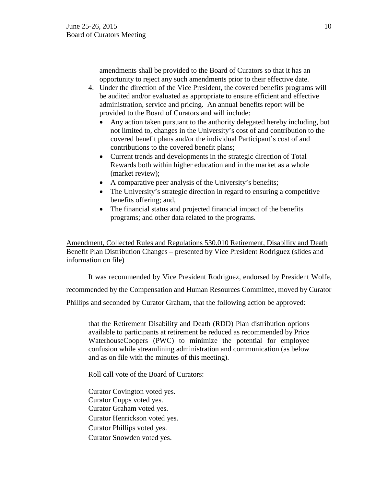amendments shall be provided to the Board of Curators so that it has an opportunity to reject any such amendments prior to their effective date.

- 4. Under the direction of the Vice President, the covered benefits programs will be audited and/or evaluated as appropriate to ensure efficient and effective administration, service and pricing. An annual benefits report will be provided to the Board of Curators and will include:
	- Any action taken pursuant to the authority delegated hereby including, but not limited to, changes in the University's cost of and contribution to the covered benefit plans and/or the individual Participant's cost of and contributions to the covered benefit plans;
	- Current trends and developments in the strategic direction of Total Rewards both within higher education and in the market as a whole (market review);
	- A comparative peer analysis of the University's benefits;
	- The University's strategic direction in regard to ensuring a competitive benefits offering; and,
	- The financial status and projected financial impact of the benefits programs; and other data related to the programs.

Amendment, Collected Rules and Regulations 530.010 Retirement, Disability and Death Benefit Plan Distribution Changes – presented by Vice President Rodriguez (slides and information on file)

It was recommended by Vice President Rodriguez, endorsed by President Wolfe, recommended by the Compensation and Human Resources Committee, moved by Curator Phillips and seconded by Curator Graham, that the following action be approved:

that the Retirement Disability and Death (RDD) Plan distribution options available to participants at retirement be reduced as recommended by Price WaterhouseCoopers (PWC) to minimize the potential for employee confusion while streamlining administration and communication (as below and as on file with the minutes of this meeting).

Roll call vote of the Board of Curators:

Curator Covington voted yes. Curator Cupps voted yes. Curator Graham voted yes. Curator Henrickson voted yes. Curator Phillips voted yes. Curator Snowden voted yes.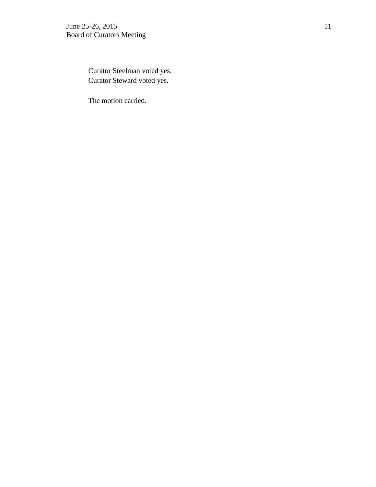Curator Steelman voted yes. Curator Steward voted yes.

The motion carried.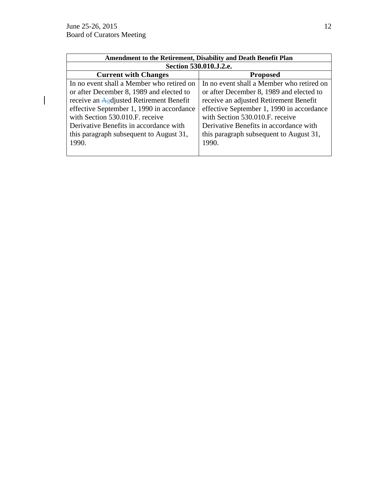$\overline{\mathsf{I}}$ 

| Amendment to the Retirement, Disability and Death Benefit Plan |                                           |  |
|----------------------------------------------------------------|-------------------------------------------|--|
| Section 530.010.J.2.e.                                         |                                           |  |
| <b>Current with Changes</b>                                    | <b>Proposed</b>                           |  |
| In no event shall a Member who retired on                      | In no event shall a Member who retired on |  |
| or after December 8, 1989 and elected to                       | or after December 8, 1989 and elected to  |  |
| receive an Aadjusted Retirement Benefit                        | receive an adjusted Retirement Benefit    |  |
| effective September 1, 1990 in accordance                      | effective September 1, 1990 in accordance |  |
| with Section 530.010.F. receive                                | with Section 530.010.F. receive           |  |
| Derivative Benefits in accordance with                         | Derivative Benefits in accordance with    |  |
| this paragraph subsequent to August 31,                        | this paragraph subsequent to August 31,   |  |
| 1990.                                                          | 1990.                                     |  |
|                                                                |                                           |  |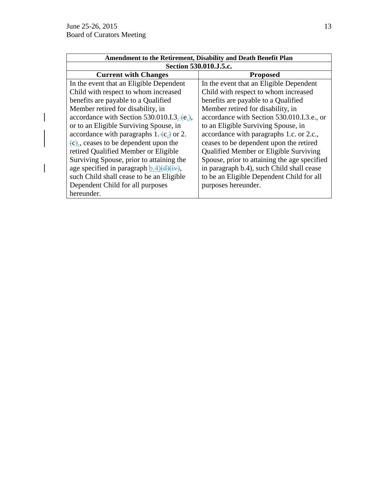$\begin{array}{c} \hline \end{array}$ 

 $\overline{\mathsf{I}}$ 

| <b>Amendment to the Retirement, Disability and Death Benefit Plan</b> |                                               |  |
|-----------------------------------------------------------------------|-----------------------------------------------|--|
| Section 530.010.J.5.c.                                                |                                               |  |
| <b>Current with Changes</b>                                           | <b>Proposed</b>                               |  |
| In the event that an Eligible Dependent                               | In the event that an Eligible Dependent       |  |
| Child with respect to whom increased                                  | Child with respect to whom increased          |  |
| benefits are payable to a Qualified                                   | benefits are payable to a Qualified           |  |
| Member retired for disability, in                                     | Member retired for disability, in             |  |
| accordance with Section 530.010.I.3. $-e$ .                           | accordance with Section 530.010.I.3.e., or    |  |
| or to an Eligible Surviving Spouse, in                                | to an Eligible Surviving Spouse, in           |  |
| accordance with paragraphs $1. (c.)$ or 2.                            | accordance with paragraphs 1.c. or 2.c.,      |  |
| $(c)$ , ceases to be dependent upon the                               | ceases to be dependent upon the retired       |  |
| retired Qualified Member or Eligible                                  | <b>Qualified Member or Eligible Surviving</b> |  |
| Surviving Spouse, prior to attaining the                              | Spouse, prior to attaining the age specified  |  |
| age specified in paragraph $b.4)(d)(iv)$ ,                            | in paragraph b.4), such Child shall cease     |  |
| such Child shall cease to be an Eligible                              | to be an Eligible Dependent Child for all     |  |
| Dependent Child for all purposes                                      | purposes hereunder.                           |  |
| hereunder.                                                            |                                               |  |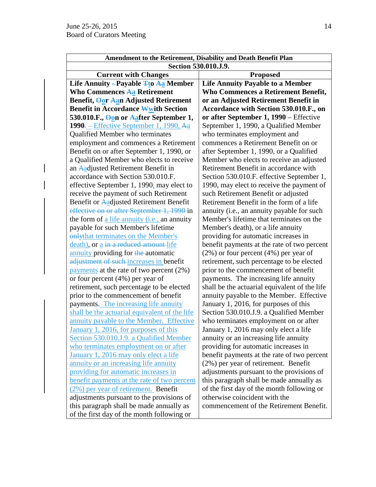| Amendment to the Retirement, Disability and Death Benefit Plan |                                               |  |
|----------------------------------------------------------------|-----------------------------------------------|--|
| Section 530.010.J.9.                                           |                                               |  |
| <b>Current with Changes</b>                                    | <b>Proposed</b>                               |  |
| Life Annuity - Payable <b>Tto Aa</b> Member                    | <b>Life Annuity Payable to a Member</b>       |  |
| <b>Who Commences Aa Retirement</b>                             | <b>Who Commences a Retirement Benefit,</b>    |  |
| Benefit, Oor Aan Adjusted Retirement                           | or an Adjusted Retirement Benefit in          |  |
| <b>Benefit in Accordance Wwith Section</b>                     | Accordance with Section 530.010.F., on        |  |
| 530.010.F., <b>Oon or Aafter September 1,</b>                  | or after September 1, 1990 – Effective        |  |
| $1990 =$ Effective September 1, 1990, Aa                       | September 1, 1990, a Qualified Member         |  |
| Qualified Member who terminates                                | who terminates employment and                 |  |
| employment and commences a Retirement                          | commences a Retirement Benefit on or          |  |
| Benefit on or after September 1, 1990, or                      | after September 1, 1990, or a Qualified       |  |
| a Qualified Member who elects to receive                       | Member who elects to receive an adjusted      |  |
| an Aadjusted Retirement Benefit in                             | Retirement Benefit in accordance with         |  |
| accordance with Section 530.010.F.                             | Section 530.010.F. effective September 1,     |  |
| effective September 1, 1990, may elect to                      | 1990, may elect to receive the payment of     |  |
| receive the payment of such Retirement                         | such Retirement Benefit or adjusted           |  |
| Benefit or Aadjusted Retirement Benefit                        | Retirement Benefit in the form of a life      |  |
| effective on or after September 1, 1990-in                     | annuity (i.e., an annuity payable for such    |  |
| the form of a life annuity <i>(i.e., an annuity</i>            | Member's lifetime that terminates on the      |  |
| payable for such Member's lifetime                             | Member's death), or a life annuity            |  |
| onlythat terminates on the Member's                            | providing for automatic increases in          |  |
| death), or a in a reduced amount-life                          | benefit payments at the rate of two percent   |  |
| annuity providing for the automatic                            | $(2\%)$ or four percent $(4\%)$ per year of   |  |
| adjustment of such-increases in benefit                        | retirement, such percentage to be elected     |  |
| payments at the rate of two percent $(2\%)$                    | prior to the commencement of benefit          |  |
| or four percent $(4%)$ per year of                             | payments. The increasing life annuity         |  |
| retirement, such percentage to be elected                      | shall be the actuarial equivalent of the life |  |
| prior to the commencement of benefit                           | annuity payable to the Member. Effective      |  |
| payments. The increasing life annuity                          | January 1, 2016, for purposes of this         |  |
| shall be the actuarial equivalent of the life                  | Section 530.010.J.9. a Qualified Member       |  |
| annuity payable to the Member. Effective                       | who terminates employment on or after         |  |
| January 1, 2016, for purposes of this                          | January 1, 2016 may only elect a life         |  |
| Section 530.010.J.9. a Qualified Member                        | annuity or an increasing life annuity         |  |
| who terminates employment on or after                          | providing for automatic increases in          |  |
| January 1, 2016 may only elect a life                          | benefit payments at the rate of two percent   |  |
| annuity or an increasing life annuity                          | $(2%)$ per year of retirement. Benefit        |  |
| providing for automatic increases in                           | adjustments pursuant to the provisions of     |  |
| benefit payments at the rate of two percent                    | this paragraph shall be made annually as      |  |
| (2%) per year of retirement. Benefit                           | of the first day of the month following or    |  |
| adjustments pursuant to the provisions of                      | otherwise coincident with the                 |  |
| this paragraph shall be made annually as                       | commencement of the Retirement Benefit.       |  |
| of the first day of the month following or                     |                                               |  |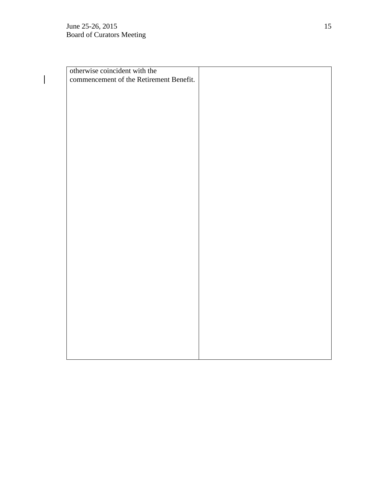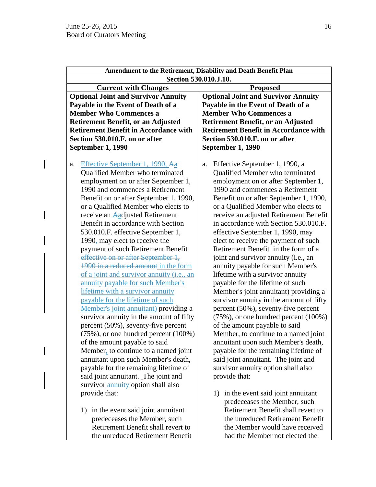| Amendment to the Retirement, Disability and Death Benefit Plan                                                                                                                                                                      |                                                                                                                                                                                                                                    |
|-------------------------------------------------------------------------------------------------------------------------------------------------------------------------------------------------------------------------------------|------------------------------------------------------------------------------------------------------------------------------------------------------------------------------------------------------------------------------------|
| Section 530.010.J.10.                                                                                                                                                                                                               |                                                                                                                                                                                                                                    |
| <b>Current with Changes</b>                                                                                                                                                                                                         | <b>Proposed</b>                                                                                                                                                                                                                    |
| <b>Optional Joint and Survivor Annuity</b>                                                                                                                                                                                          | <b>Optional Joint and Survivor Annuity</b>                                                                                                                                                                                         |
| Payable in the Event of Death of a                                                                                                                                                                                                  | Payable in the Event of Death of a                                                                                                                                                                                                 |
| <b>Member Who Commences a</b>                                                                                                                                                                                                       | <b>Member Who Commences a</b>                                                                                                                                                                                                      |
| <b>Retirement Benefit, or an Adjusted</b>                                                                                                                                                                                           | <b>Retirement Benefit, or an Adjusted</b>                                                                                                                                                                                          |
| <b>Retirement Benefit in Accordance with</b>                                                                                                                                                                                        | <b>Retirement Benefit in Accordance with</b>                                                                                                                                                                                       |
| Section 530.010.F. on or after                                                                                                                                                                                                      | Section 530.010.F. on or after                                                                                                                                                                                                     |
| <b>September 1, 1990</b>                                                                                                                                                                                                            | <b>September 1, 1990</b>                                                                                                                                                                                                           |
| Effective September 1, 1990, Aa<br>a.<br>Qualified Member who terminated<br>employment on or after September 1,<br>1990 and commences a Retirement<br>Benefit on or after September 1, 1990,<br>or a Qualified Member who elects to | Effective September 1, 1990, a<br>a.<br>Qualified Member who terminated<br>employment on or after September 1,<br>1990 and commences a Retirement<br>Benefit on or after September 1, 1990,<br>or a Qualified Member who elects to |
| receive an Aadjusted Retirement                                                                                                                                                                                                     | receive an adjusted Retirement Benefit                                                                                                                                                                                             |
| Benefit in accordance with Section                                                                                                                                                                                                  | in accordance with Section 530.010.F.                                                                                                                                                                                              |
| 530.010.F. effective September 1,                                                                                                                                                                                                   | effective September 1, 1990, may                                                                                                                                                                                                   |
| 1990, may elect to receive the                                                                                                                                                                                                      | elect to receive the payment of such                                                                                                                                                                                               |
| payment of such Retirement Benefit                                                                                                                                                                                                  | Retirement Benefit in the form of a                                                                                                                                                                                                |
| effective on or after September 1,                                                                                                                                                                                                  | joint and survivor annuity (i.e., an                                                                                                                                                                                               |
| 1990 in a reduced amount in the form                                                                                                                                                                                                | annuity payable for such Member's                                                                                                                                                                                                  |
| of a joint and survivor annuity (i.e., an                                                                                                                                                                                           | lifetime with a survivor annuity                                                                                                                                                                                                   |
| annuity payable for such Member's                                                                                                                                                                                                   | payable for the lifetime of such                                                                                                                                                                                                   |
| lifetime with a survivor annuity                                                                                                                                                                                                    | Member's joint annuitant) providing a                                                                                                                                                                                              |
| payable for the lifetime of such                                                                                                                                                                                                    | survivor annuity in the amount of fifty                                                                                                                                                                                            |
| Member's joint annuitant) providing a                                                                                                                                                                                               | percent (50%), seventy-five percent                                                                                                                                                                                                |
| survivor annuity in the amount of fifty                                                                                                                                                                                             | $(75\%)$ , or one hundred percent $(100\%)$                                                                                                                                                                                        |
| percent (50%), seventy-five percent                                                                                                                                                                                                 | of the amount payable to said                                                                                                                                                                                                      |
| $(75\%)$ , or one hundred percent $(100\%)$                                                                                                                                                                                         | Member, to continue to a named joint                                                                                                                                                                                               |
| of the amount payable to said                                                                                                                                                                                                       | annuitant upon such Member's death,                                                                                                                                                                                                |
| Member, to continue to a named joint                                                                                                                                                                                                | payable for the remaining lifetime of                                                                                                                                                                                              |
| annuitant upon such Member's death,                                                                                                                                                                                                 | said joint annuitant. The joint and                                                                                                                                                                                                |
| payable for the remaining lifetime of                                                                                                                                                                                               | survivor annuity option shall also                                                                                                                                                                                                 |
| said joint annuitant. The joint and                                                                                                                                                                                                 | provide that:                                                                                                                                                                                                                      |
| survivor annuity option shall also                                                                                                                                                                                                  |                                                                                                                                                                                                                                    |
| provide that:                                                                                                                                                                                                                       | 1) in the event said joint annuitant<br>predeceases the Member, such                                                                                                                                                               |
| 1) in the event said joint annuitant                                                                                                                                                                                                | Retirement Benefit shall revert to                                                                                                                                                                                                 |
| predeceases the Member, such                                                                                                                                                                                                        | the unreduced Retirement Benefit                                                                                                                                                                                                   |
| Retirement Benefit shall revert to                                                                                                                                                                                                  | the Member would have received                                                                                                                                                                                                     |

had the Member not elected the

the unreduced Retirement Benefit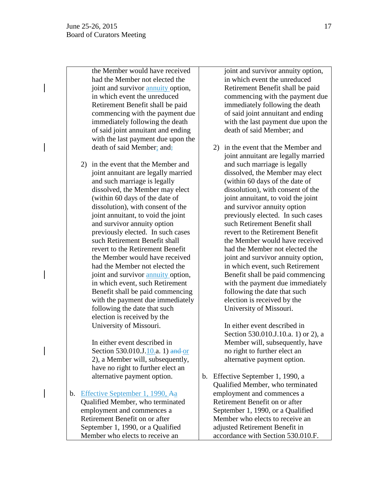the Member would have received had the Member not elected the joint and survivor annuity option, in which event the unreduced Retirement Benefit shall be paid commencing with the payment due immediately following the death of said joint annuitant and ending with the last payment due upon the death of said Member; and;

2) in the event that the Member and joint annuitant are legally married and such marriage is legally dissolved, the Member may elect (within 60 days of the date of dissolution), with consent of the joint annuitant, to void the joint and survivor annuity option previously elected. In such cases such Retirement Benefit shall revert to the Retirement Benefit the Member would have received had the Member not elected the joint and survivor annuity option, in which event, such Retirement Benefit shall be paid commencing with the payment due immediately following the date that such election is received by the University of Missouri.

In either event described in Section 530.010.J.10.a. 1) and or 2), a Member will, subsequently, have no right to further elect an alternative payment option.

b. Effective September 1, 1990, Aa Qualified Member, who terminated employment and commences a Retirement Benefit on or after September 1, 1990, or a Qualified Member who elects to receive an

joint and survivor annuity option, in which event the unreduced Retirement Benefit shall be paid commencing with the payment due immediately following the death of said joint annuitant and ending with the last payment due upon the death of said Member; and

2) in the event that the Member and joint annuitant are legally married and such marriage is legally dissolved, the Member may elect (within 60 days of the date of dissolution), with consent of the joint annuitant, to void the joint and survivor annuity option previously elected. In such cases such Retirement Benefit shall revert to the Retirement Benefit the Member would have received had the Member not elected the joint and survivor annuity option, in which event, such Retirement Benefit shall be paid commencing with the payment due immediately following the date that such election is received by the University of Missouri.

In either event described in Section 530.010.J.10.a. 1) or 2), a Member will, subsequently, have no right to further elect an alternative payment option.

b. Effective September 1, 1990, a Qualified Member, who terminated employment and commences a Retirement Benefit on or after September 1, 1990, or a Qualified Member who elects to receive an adjusted Retirement Benefit in accordance with Section 530.010.F.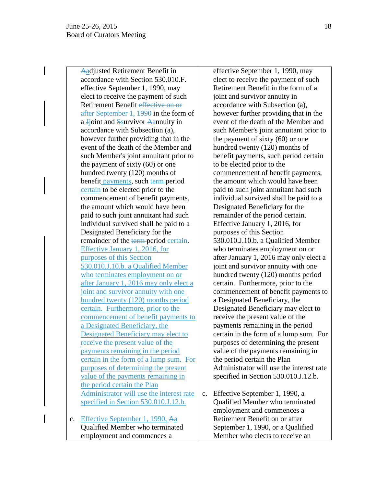Aadjusted Retirement Benefit in accordance with Section 530.010.F. effective September 1, 1990, may elect to receive the payment of such Retirement Benefit effective on or after September 1, 1990 in the form of a **J**joint and **S**survivor Aannuity in accordance with Subsection (a), however further providing that in the event of the death of the Member and such Member's joint annuitant prior to the payment of sixty (60) or one hundred twenty (120) months of benefit payments, such term period certain to be elected prior to the commencement of benefit payments, the amount which would have been paid to such joint annuitant had such individual survived shall be paid to a Designated Beneficiary for the remainder of the term-period certain. Effective January 1, 2016, for purposes of this Section 530.010.J.10.b. a Qualified Member who terminates employment on or after January 1, 2016 may only elect a joint and survivor annuity with one hundred twenty (120) months period certain. Furthermore, prior to the commencement of benefit payments to a Designated Beneficiary, the Designated Beneficiary may elect to receive the present value of the payments remaining in the period certain in the form of a lump sum. For purposes of determining the present value of the payments remaining in the period certain the Plan Administrator will use the interest rate specified in Section 530.010.J.12.b.

c. Effective September 1, 1990, Aa Qualified Member who terminated employment and commences a

effective September 1, 1990, may elect to receive the payment of such Retirement Benefit in the form of a joint and survivor annuity in accordance with Subsection (a), however further providing that in the event of the death of the Member and such Member's joint annuitant prior to the payment of sixty (60) or one hundred twenty (120) months of benefit payments, such period certain to be elected prior to the commencement of benefit payments, the amount which would have been paid to such joint annuitant had such individual survived shall be paid to a Designated Beneficiary for the remainder of the period certain. Effective January 1, 2016, for purposes of this Section 530.010.J.10.b. a Qualified Member who terminates employment on or after January 1, 2016 may only elect a joint and survivor annuity with one hundred twenty (120) months period certain. Furthermore, prior to the commencement of benefit payments to a Designated Beneficiary, the Designated Beneficiary may elect to receive the present value of the payments remaining in the period certain in the form of a lump sum. For purposes of determining the present value of the payments remaining in the period certain the Plan Administrator will use the interest rate specified in Section 530.010.J.12.b.

c. Effective September 1, 1990, a Qualified Member who terminated employment and commences a Retirement Benefit on or after September 1, 1990, or a Qualified Member who elects to receive an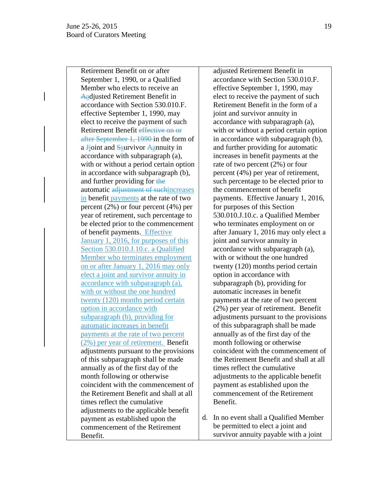Retirement Benefit on or after September 1, 1990, or a Qualified Member who elects to receive an Aadjusted Retirement Benefit in accordance with Section 530.010.F. effective September 1, 1990, may elect to receive the payment of such Retirement Benefit effective on or after September 1, 1990 in the form of a Jjoint and Ssurvivor Aannuity in accordance with subparagraph (a), with or without a period certain option in accordance with subparagraph (b), and further providing for the automatic adjustment of suchincreases in benefit payments at the rate of two percent (2%) or four percent (4%) per year of retirement, such percentage to be elected prior to the commencement of benefit payments. Effective January 1, 2016, for purposes of this Section 530.010.J.10.c. a Qualified Member who terminates employment on or after January 1, 2016 may only elect a joint and survivor annuity in accordance with subparagraph (a), with or without the one hundred twenty (120) months period certain option in accordance with subparagraph (b), providing for automatic increases in benefit payments at the rate of two percent (2%) per year of retirement. Benefit adjustments pursuant to the provisions of this subparagraph shall be made annually as of the first day of the month following or otherwise coincident with the commencement of the Retirement Benefit and shall at all times reflect the cumulative adjustments to the applicable benefit payment as established upon the commencement of the Retirement Benefit.

adjusted Retirement Benefit in accordance with Section 530.010.F. effective September 1, 1990, may elect to receive the payment of such Retirement Benefit in the form of a joint and survivor annuity in accordance with subparagraph (a), with or without a period certain option in accordance with subparagraph (b), and further providing for automatic increases in benefit payments at the rate of two percent (2%) or four percent (4%) per year of retirement, such percentage to be elected prior to the commencement of benefit payments. Effective January 1, 2016, for purposes of this Section 530.010.J.10.c. a Qualified Member who terminates employment on or after January 1, 2016 may only elect a joint and survivor annuity in accordance with subparagraph (a), with or without the one hundred twenty (120) months period certain option in accordance with subparagraph (b), providing for automatic increases in benefit payments at the rate of two percent (2%) per year of retirement. Benefit adjustments pursuant to the provisions of this subparagraph shall be made annually as of the first day of the month following or otherwise coincident with the commencement of the Retirement Benefit and shall at all times reflect the cumulative adjustments to the applicable benefit payment as established upon the commencement of the Retirement Benefit.

d. In no event shall a Qualified Member be permitted to elect a joint and survivor annuity payable with a joint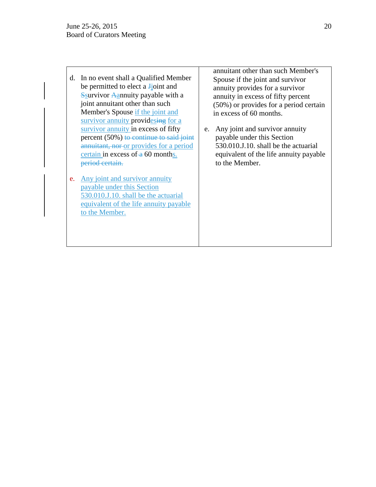- d. In no event shall a Qualified Member be permitted to elect a **J**joint and Ssurvivor Aannuity payable with a joint annuitant other than such Member's Spouse if the joint and survivor annuity providesing for a survivor annuity in excess of fifty percent (50%) to continue to said joint annuitant, nor or provides for a period certain in excess of  $\alpha$  60 months. period certain.
- e. Any joint and survivor annuity payable under this Section 530.010.J.10. shall be the actuarial equivalent of the life annuity payable to the Member.

annuitant other than such Member's Spouse if the joint and survivor annuity provides for a survivor annuity in excess of fifty percent (50%) or provides for a period certain in excess of 60 months.

e. Any joint and survivor annuity payable under this Section 530.010.J.10. shall be the actuarial equivalent of the life annuity payable to the Member.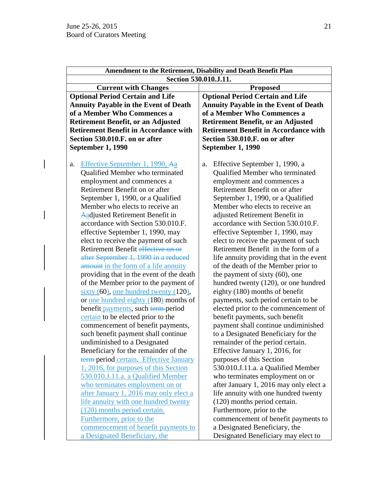$\overline{\mathsf{I}}$ 

| Amendment to the Retirement, Disability and Death Benefit Plan |                                              |  |
|----------------------------------------------------------------|----------------------------------------------|--|
|                                                                | Section 530.010.J.11.                        |  |
| <b>Current with Changes</b>                                    | <b>Proposed</b>                              |  |
| <b>Optional Period Certain and Life</b>                        | <b>Optional Period Certain and Life</b>      |  |
| <b>Annuity Payable in the Event of Death</b>                   | <b>Annuity Payable in the Event of Death</b> |  |
| of a Member Who Commences a                                    | of a Member Who Commences a                  |  |
| <b>Retirement Benefit, or an Adjusted</b>                      | <b>Retirement Benefit, or an Adjusted</b>    |  |
| <b>Retirement Benefit in Accordance with</b>                   | <b>Retirement Benefit in Accordance with</b> |  |
| Section 530.010.F. on or after                                 | Section 530.010.F. on or after               |  |
| September 1, 1990                                              | September 1, 1990                            |  |
|                                                                |                                              |  |
| Effective September 1, 1990, Aa<br>a.                          | Effective September 1, 1990, a<br>a.         |  |
| Qualified Member who terminated                                | Qualified Member who terminated              |  |
| employment and commences a                                     | employment and commences a                   |  |
| Retirement Benefit on or after                                 | Retirement Benefit on or after               |  |
| September 1, 1990, or a Qualified                              | September 1, 1990, or a Qualified            |  |
| Member who elects to receive an                                | Member who elects to receive an              |  |
| Aadjusted Retirement Benefit in                                | adjusted Retirement Benefit in               |  |
| accordance with Section 530.010.F.                             | accordance with Section 530.010.F.           |  |
| effective September 1, 1990, may                               | effective September 1, 1990, may             |  |
| elect to receive the payment of such                           | elect to receive the payment of such         |  |
| Retirement Benefit effective on or                             | Retirement Benefit in the form of a          |  |
| after September 1, 1990 in a reduced                           | life annuity providing that in the event     |  |
| amount in the form of a life annuity                           | of the death of the Member prior to          |  |
| providing that in the event of the death                       | the payment of sixty $(60)$ , one            |  |
| of the Member prior to the payment of                          | hundred twenty (120), or one hundred         |  |
| sixty $(60)$ , one hundred twenty $(120)$ ,                    | eighty (180) months of benefit               |  |
| or <u>one hundred eighty</u> (180) months of                   | payments, such period certain to be          |  |
| benefit payments, such term-period                             | elected prior to the commencement of         |  |
| certain to be elected prior to the                             | benefit payments, such benefit               |  |
| commencement of benefit payments,                              | payment shall continue undiminished          |  |
| such benefit payment shall continue                            | to a Designated Beneficiary for the          |  |
| undiminished to a Designated                                   | remainder of the period certain.             |  |
| Beneficiary for the remainder of the                           | Effective January 1, 2016, for               |  |
| term-period certain. Effective January                         | purposes of this Section                     |  |
| 1, 2016, for purposes of this Section                          | 530.010.J.11.a. a Qualified Member           |  |
| 530.010.J.11.a. a Qualified Member                             | who terminates employment on or              |  |
| who terminates employment on or                                | after January 1, 2016 may only elect a       |  |
| after January 1, 2016 may only elect a                         | life annuity with one hundred twenty         |  |
| life annuity with one hundred twenty                           | (120) months period certain.                 |  |
| (120) months period certain.                                   | Furthermore, prior to the                    |  |
|                                                                |                                              |  |
| Furthermore, prior to the                                      | commencement of benefit payments to          |  |
| commencement of benefit payments to                            | a Designated Beneficiary, the                |  |
| a Designated Beneficiary, the                                  | Designated Beneficiary may elect to          |  |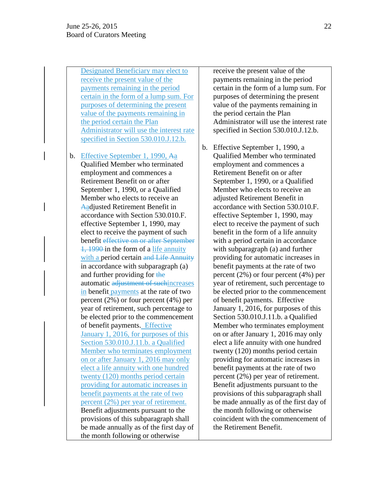Designated Beneficiary may elect to receive the present value of the payments remaining in the period certain in the form of a lump sum. For purposes of determining the present value of the payments remaining in the period certain the Plan Administrator will use the interest rate specified in Section 530.010.J.12.b.

b. Effective September 1, 1990, Aa Qualified Member who terminated employment and commences a Retirement Benefit on or after September 1, 1990, or a Qualified Member who elects to receive an Aadjusted Retirement Benefit in accordance with Section 530.010.F. effective September 1, 1990, may elect to receive the payment of such benefit effective on or after September 1, 1990 in the form of a life annuity with a period certain and Life Annuity in accordance with subparagraph (a) and further providing for the automatic adjustment of suchincreases in benefit payments at the rate of two percent (2%) or four percent (4%) per year of retirement, such percentage to be elected prior to the commencement of benefit payments. Effective January 1, 2016, for purposes of this Section 530.010.J.11.b. a Qualified Member who terminates employment on or after January 1, 2016 may only elect a life annuity with one hundred twenty (120) months period certain providing for automatic increases in benefit payments at the rate of two percent (2%) per year of retirement. Benefit adjustments pursuant to the provisions of this subparagraph shall be made annually as of the first day of the month following or otherwise

receive the present value of the payments remaining in the period certain in the form of a lump sum. For purposes of determining the present value of the payments remaining in the period certain the Plan Administrator will use the interest rate specified in Section 530.010.J.12.b.

b. Effective September 1, 1990, a Qualified Member who terminated employment and commences a Retirement Benefit on or after September 1, 1990, or a Qualified Member who elects to receive an adjusted Retirement Benefit in accordance with Section 530.010.F. effective September 1, 1990, may elect to receive the payment of such benefit in the form of a life annuity with a period certain in accordance with subparagraph (a) and further providing for automatic increases in benefit payments at the rate of two percent (2%) or four percent (4%) per year of retirement, such percentage to be elected prior to the commencement of benefit payments. Effective January 1, 2016, for purposes of this Section 530.010.J.11.b. a Qualified Member who terminates employment on or after January 1, 2016 may only elect a life annuity with one hundred twenty (120) months period certain providing for automatic increases in benefit payments at the rate of two percent (2%) per year of retirement. Benefit adjustments pursuant to the provisions of this subparagraph shall be made annually as of the first day of the month following or otherwise coincident with the commencement of the Retirement Benefit.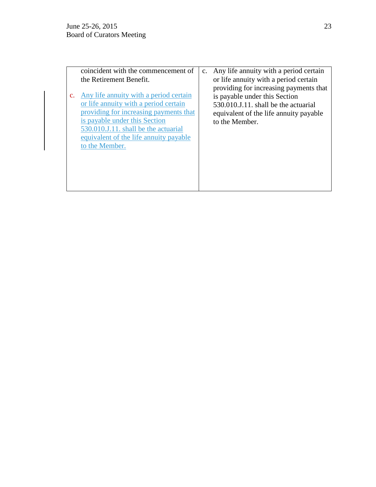| coincident with the commencement of<br>the Retirement Benefit.                                                                                                                                                                                                    | c. Any life annuity with a period certain<br>or life annuity with a period certain                                                                                          |
|-------------------------------------------------------------------------------------------------------------------------------------------------------------------------------------------------------------------------------------------------------------------|-----------------------------------------------------------------------------------------------------------------------------------------------------------------------------|
| c. Any life annuity with a period certain<br>or life annuity with a period certain<br>providing for increasing payments that<br>is payable under this Section<br>530.010.J.11. shall be the actuarial<br>equivalent of the life annuity payable<br>to the Member. | providing for increasing payments that<br>is payable under this Section<br>530.010.J.11. shall be the actuarial<br>equivalent of the life annuity payable<br>to the Member. |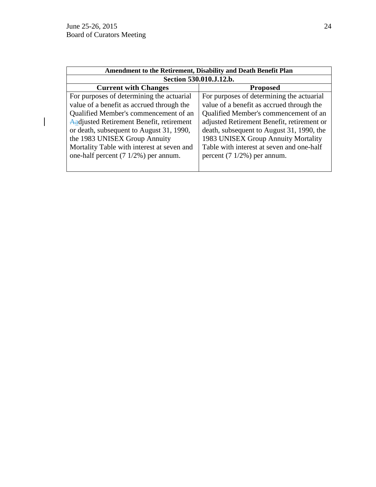$\overline{\mathsf{I}}$ 

| Amendment to the Retirement, Disability and Death Benefit Plan |                                            |  |
|----------------------------------------------------------------|--------------------------------------------|--|
| Section 530.010.J.12.b.                                        |                                            |  |
| <b>Current with Changes</b>                                    | <b>Proposed</b>                            |  |
| For purposes of determining the actuarial                      | For purposes of determining the actuarial  |  |
| value of a benefit as accrued through the                      | value of a benefit as accrued through the  |  |
| Qualified Member's commencement of an                          | Qualified Member's commencement of an      |  |
| Aadjusted Retirement Benefit, retirement                       | adjusted Retirement Benefit, retirement or |  |
| or death, subsequent to August 31, 1990,                       | death, subsequent to August 31, 1990, the  |  |
| the 1983 UNISEX Group Annuity                                  | 1983 UNISEX Group Annuity Mortality        |  |
| Mortality Table with interest at seven and                     | Table with interest at seven and one-half  |  |
| one-half percent $(7 \frac{1}{2\%})$ per annum.                | percent $(7 \frac{1}{2}\%)$ per annum.     |  |
|                                                                |                                            |  |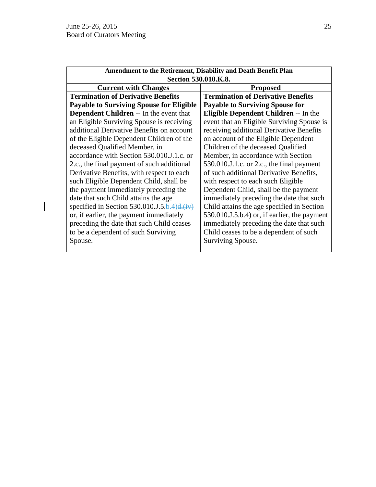$\overline{\phantom{a}}$ 

| Amendment to the Retirement, Disability and Death Benefit Plan |                                                     |  |
|----------------------------------------------------------------|-----------------------------------------------------|--|
| Section 530.010.K.8.                                           |                                                     |  |
| <b>Current with Changes</b>                                    | <b>Proposed</b>                                     |  |
| <b>Termination of Derivative Benefits</b>                      | <b>Termination of Derivative Benefits</b>           |  |
| <b>Payable to Surviving Spouse for Eligible</b>                | <b>Payable to Surviving Spouse for</b>              |  |
| <b>Dependent Children --</b> In the event that                 | <b>Eligible Dependent Children -- In the</b>        |  |
| an Eligible Surviving Spouse is receiving                      | event that an Eligible Surviving Spouse is          |  |
| additional Derivative Benefits on account                      | receiving additional Derivative Benefits            |  |
| of the Eligible Dependent Children of the                      | on account of the Eligible Dependent                |  |
| deceased Qualified Member, in                                  | Children of the deceased Qualified                  |  |
| accordance with Section 530.010.J.1.c. or                      | Member, in accordance with Section                  |  |
| 2.c., the final payment of such additional                     | $530.010$ .J.1.c. or 2.c., the final payment        |  |
| Derivative Benefits, with respect to each                      | of such additional Derivative Benefits,             |  |
| such Eligible Dependent Child, shall be                        | with respect to each such Eligible                  |  |
| the payment immediately preceding the                          | Dependent Child, shall be the payment               |  |
| date that such Child attains the age                           | immediately preceding the date that such            |  |
| specified in Section 530.010.J.5.b.4) $d$ .(iv)                | Child attains the age specified in Section          |  |
| or, if earlier, the payment immediately                        | $530.010$ .J. $5.6.4$ ) or, if earlier, the payment |  |
| preceding the date that such Child ceases                      | immediately preceding the date that such            |  |
| to be a dependent of such Surviving                            | Child ceases to be a dependent of such              |  |
| Spouse.                                                        | Surviving Spouse.                                   |  |
|                                                                |                                                     |  |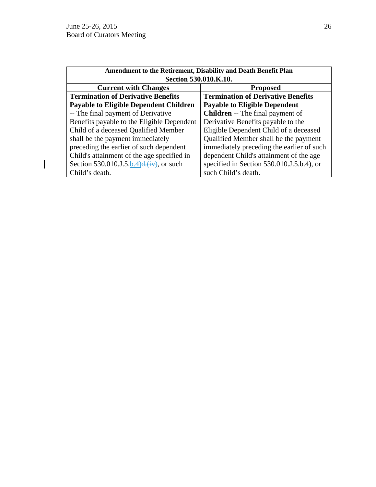$\begin{array}{c} \hline \end{array}$ 

| Amendment to the Retirement, Disability and Death Benefit Plan |                                           |  |
|----------------------------------------------------------------|-------------------------------------------|--|
| Section 530.010.K.10.                                          |                                           |  |
| <b>Current with Changes</b>                                    | <b>Proposed</b>                           |  |
| <b>Termination of Derivative Benefits</b>                      | <b>Termination of Derivative Benefits</b> |  |
| <b>Payable to Eligible Dependent Children</b>                  | <b>Payable to Eligible Dependent</b>      |  |
| -- The final payment of Derivative                             | <b>Children --</b> The final payment of   |  |
| Benefits payable to the Eligible Dependent                     | Derivative Benefits payable to the        |  |
| Child of a deceased Qualified Member                           | Eligible Dependent Child of a deceased    |  |
| shall be the payment immediately                               | Qualified Member shall be the payment     |  |
| preceding the earlier of such dependent                        | immediately preceding the earlier of such |  |
| Child's attainment of the age specified in                     | dependent Child's attainment of the age   |  |
| Section 530.010.J.5.b.4) $d_{\tau}$ (iv), or such              | specified in Section 530.010.J.5.b.4), or |  |
| Child's death.                                                 | such Child's death.                       |  |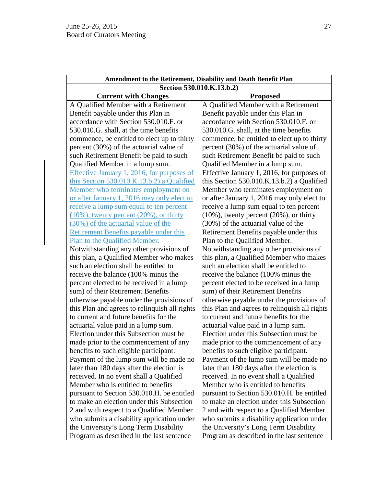| Amendment to the Retirement, Disability and Death Benefit Plan |                                                |  |
|----------------------------------------------------------------|------------------------------------------------|--|
| Section 530.010.K.13.b.2)                                      |                                                |  |
| <b>Current with Changes</b>                                    | <b>Proposed</b>                                |  |
| A Qualified Member with a Retirement                           | A Qualified Member with a Retirement           |  |
| Benefit payable under this Plan in                             | Benefit payable under this Plan in             |  |
| accordance with Section 530.010.F. or                          | accordance with Section 530.010.F. or          |  |
| 530.010.G. shall, at the time benefits                         | 530.010.G. shall, at the time benefits         |  |
| commence, be entitled to elect up to thirty                    | commence, be entitled to elect up to thirty    |  |
| percent (30%) of the actuarial value of                        | percent (30%) of the actuarial value of        |  |
| such Retirement Benefit be paid to such                        | such Retirement Benefit be paid to such        |  |
| Qualified Member in a lump sum.                                | Qualified Member in a lump sum.                |  |
| Effective January 1, 2016, for purposes of                     | Effective January 1, 2016, for purposes of     |  |
| this Section 530.010.K.13.b.2) a Qualified                     | this Section 530.010.K.13.b.2) a Qualified     |  |
| Member who terminates employment on                            | Member who terminates employment on            |  |
| or after January 1, 2016 may only elect to                     | or after January 1, 2016 may only elect to     |  |
| receive a lump sum equal to ten percent                        | receive a lump sum equal to ten percent        |  |
| $(10\%)$ , twenty percent $(20\%)$ , or thirty                 | $(10\%)$ , twenty percent $(20\%)$ , or thirty |  |
| (30%) of the actuarial value of the                            | (30%) of the actuarial value of the            |  |
| <b>Retirement Benefits payable under this</b>                  | Retirement Benefits payable under this         |  |
| Plan to the Qualified Member.                                  | Plan to the Qualified Member.                  |  |
| Notwithstanding any other provisions of                        | Notwithstanding any other provisions of        |  |
| this plan, a Qualified Member who makes                        | this plan, a Qualified Member who makes        |  |
| such an election shall be entitled to                          | such an election shall be entitled to          |  |
| receive the balance (100% minus the                            | receive the balance (100% minus the            |  |
| percent elected to be received in a lump                       | percent elected to be received in a lump       |  |
| sum) of their Retirement Benefits                              | sum) of their Retirement Benefits              |  |
| otherwise payable under the provisions of                      | otherwise payable under the provisions of      |  |
| this Plan and agrees to relinquish all rights                  | this Plan and agrees to relinquish all rights  |  |
| to current and future benefits for the                         | to current and future benefits for the         |  |
| actuarial value paid in a lump sum.                            | actuarial value paid in a lump sum.            |  |
| Election under this Subsection must be                         | Election under this Subsection must be         |  |
| made prior to the commencement of any                          | made prior to the commencement of any          |  |
| benefits to such eligible participant.                         | benefits to such eligible participant.         |  |
| Payment of the lump sum will be made no                        | Payment of the lump sum will be made no        |  |
| later than 180 days after the election is                      | later than 180 days after the election is      |  |
| received. In no event shall a Qualified                        | received. In no event shall a Qualified        |  |
| Member who is entitled to benefits                             | Member who is entitled to benefits             |  |
| pursuant to Section 530.010.H. be entitled                     | pursuant to Section 530.010.H. be entitled     |  |
| to make an election under this Subsection                      | to make an election under this Subsection      |  |
| 2 and with respect to a Qualified Member                       | 2 and with respect to a Qualified Member       |  |
| who submits a disability application under                     | who submits a disability application under     |  |
| the University's Long Term Disability                          | the University's Long Term Disability          |  |
| Program as described in the last sentence                      | Program as described in the last sentence      |  |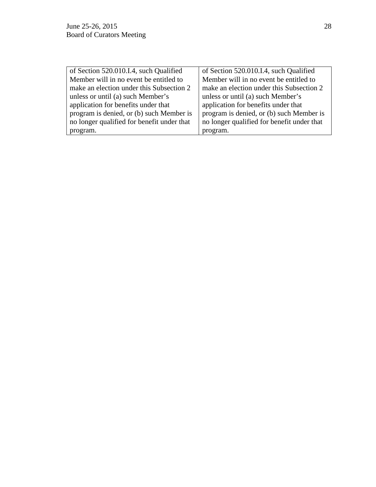| of Section 520.010.I.4, such Qualified     | of Section 520.010.I.4, such Qualified     |
|--------------------------------------------|--------------------------------------------|
| Member will in no event be entitled to     | Member will in no event be entitled to     |
| make an election under this Subsection 2   | make an election under this Subsection 2   |
| unless or until (a) such Member's          | unless or until (a) such Member's          |
| application for benefits under that        | application for benefits under that        |
| program is denied, or (b) such Member is   | program is denied, or (b) such Member is   |
| no longer qualified for benefit under that | no longer qualified for benefit under that |
| program.                                   | program.                                   |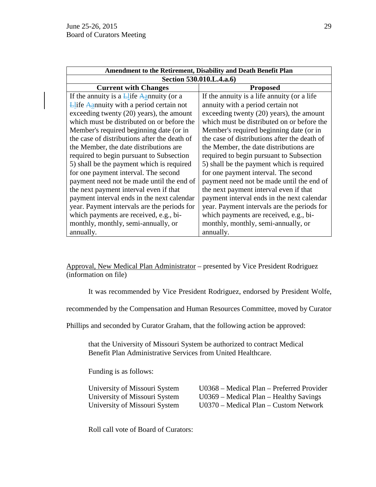| Amendment to the Retirement, Disability and Death Benefit Plan |                                              |
|----------------------------------------------------------------|----------------------------------------------|
| Section 530.010.L.4.a.6)                                       |                                              |
| <b>Current with Changes</b>                                    | <b>Proposed</b>                              |
| If the annuity is a $\frac{1}{2}$ life Agnuity (or a           | If the annuity is a life annuity (or a life  |
| $\frac{1}{2}$ life Agnuativ with a period certain not          | annuity with a period certain not            |
| exceeding twenty (20) years), the amount                       | exceeding twenty (20) years), the amount     |
| which must be distributed on or before the                     | which must be distributed on or before the   |
| Member's required beginning date (or in                        | Member's required beginning date (or in      |
| the case of distributions after the death of                   | the case of distributions after the death of |
| the Member, the date distributions are                         | the Member, the date distributions are       |
| required to begin pursuant to Subsection                       | required to begin pursuant to Subsection     |
| 5) shall be the payment which is required                      | 5) shall be the payment which is required    |
| for one payment interval. The second                           | for one payment interval. The second         |
| payment need not be made until the end of                      | payment need not be made until the end of    |
| the next payment interval even if that                         | the next payment interval even if that       |
| payment interval ends in the next calendar                     | payment interval ends in the next calendar   |
| year. Payment intervals are the periods for                    | year. Payment intervals are the periods for  |
| which payments are received, e.g., bi-                         | which payments are received, e.g., bi-       |
| monthly, monthly, semi-annually, or                            | monthly, monthly, semi-annually, or          |
| annually.                                                      | annually.                                    |

Approval, New Medical Plan Administrator – presented by Vice President Rodriguez (information on file)

It was recommended by Vice President Rodriguez, endorsed by President Wolfe,

recommended by the Compensation and Human Resources Committee, moved by Curator

Phillips and seconded by Curator Graham, that the following action be approved:

that the University of Missouri System be authorized to contract Medical Benefit Plan Administrative Services from United Healthcare.

Funding is as follows:

University of Missouri System U0368 – Medical Plan – Preferred Provider University of Missouri System U0369 – Medical Plan – Healthy Savings University of Missouri System U0370 – Medical Plan – Custom Network

Roll call vote of Board of Curators: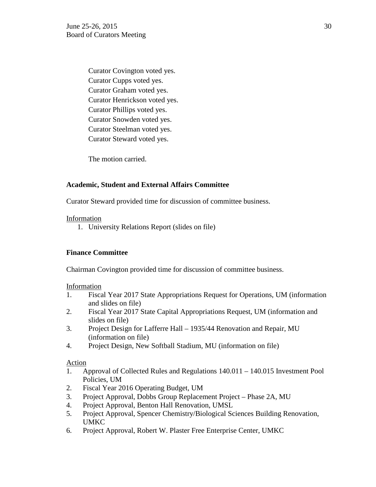Curator Covington voted yes. Curator Cupps voted yes. Curator Graham voted yes. Curator Henrickson voted yes. Curator Phillips voted yes. Curator Snowden voted yes. Curator Steelman voted yes. Curator Steward voted yes.

The motion carried.

# **Academic, Student and External Affairs Committee**

Curator Steward provided time for discussion of committee business.

## Information

1. University Relations Report (slides on file)

## **Finance Committee**

Chairman Covington provided time for discussion of committee business.

## Information

- 1. Fiscal Year 2017 State Appropriations Request for Operations, UM (information and slides on file)
- 2. Fiscal Year 2017 State Capital Appropriations Request, UM (information and slides on file)
- 3. Project Design for Lafferre Hall 1935/44 Renovation and Repair, MU (information on file)
- 4. Project Design, New Softball Stadium, MU (information on file)

## Action

- 1. Approval of Collected Rules and Regulations 140.011 140.015 Investment Pool Policies, UM
- 2. Fiscal Year 2016 Operating Budget, UM
- 3. Project Approval, Dobbs Group Replacement Project Phase 2A, MU
- 4. Project Approval, Benton Hall Renovation, UMSL
- 5. Project Approval, Spencer Chemistry/Biological Sciences Building Renovation, UMKC
- 6. Project Approval, Robert W. Plaster Free Enterprise Center, UMKC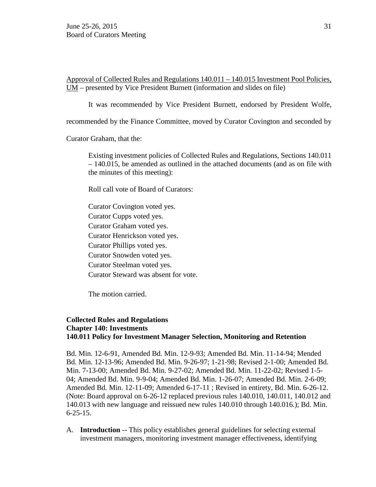Approval of Collected Rules and Regulations 140.011 – 140.015 Investment Pool Policies, UM – presented by Vice President Burnett (information and slides on file)

It was recommended by Vice President Burnett, endorsed by President Wolfe,

recommended by the Finance Committee, moved by Curator Covington and seconded by

Curator Graham, that the:

Existing investment policies of Collected Rules and Regulations, Sections 140.011 – 140.015, be amended as outlined in the attached documents (and as on file with the minutes of this meeting):

Roll call vote of Board of Curators:

Curator Covington voted yes. Curator Cupps voted yes. Curator Graham voted yes. Curator Henrickson voted yes. Curator Phillips voted yes. Curator Snowden voted yes. Curator Steelman voted yes. Curator Steward was absent for vote.

The motion carried.

## **Collected Rules and Regulations Chapter 140: Investments 140.011 Policy for Investment Manager Selection, Monitoring and Retention**

Bd. Min. 12-6-91, Amended Bd. Min. 12-9-93; Amended Bd. Min. 11-14-94; Mended Bd. Min. 12-13-96; Amended Bd. Min. 9-26-97; 1-21-98; Revised 2-1-00; Amended Bd. Min. 7-13-00; Amended Bd. Min. 9-27-02; Amended Bd. Min. 11-22-02; Revised 1-5- 04; Amended Bd. Min. 9-9-04; Amended Bd. Min. 1-26-07; Amended Bd. Min. 2-6-09; Amended Bd. Min. 12-11-09; Amended 6-17-11 ; Revised in entirety, Bd. Min. 6-26-12. (Note: Board approval on 6-26-12 replaced previous rules 140.010, 140.011, 140.012 and 140.013 with new language and reissued new rules 140.010 through 140.016.); Bd. Min. 6-25-15.

A. **Introduction** -- This policy establishes general guidelines for selecting external investment managers, monitoring investment manager effectiveness, identifying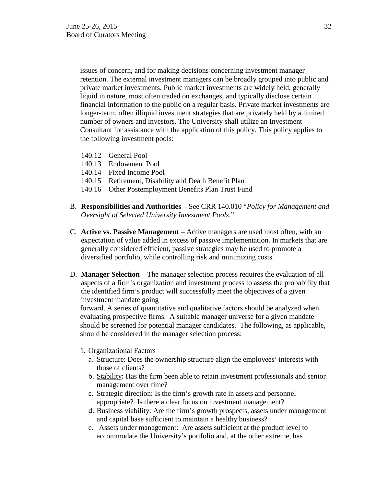issues of concern, and for making decisions concerning investment manager retention. The external investment managers can be broadly grouped into public and private market investments. Public market investments are widely held, generally liquid in nature, most often traded on exchanges, and typically disclose certain financial information to the public on a regular basis. Private market investments are longer-term, often illiquid investment strategies that are privately held by a limited number of owners and investors. The University shall utilize an Investment Consultant for assistance with the application of this policy. This policy applies to the following investment pools:

- 140.12 General Pool
- 140.13 Endowment Pool
- 140.14 Fixed Income Pool
- 140.15 Retirement, Disability and Death Benefit Plan
- 140.16 Other Postemployment Benefits Plan Trust Fund
- B. **Responsibilities and Authorities**  See CRR 140.010 "*Policy for Management and Oversight of Selected University Investment Pools*."
- C. **Active vs. Passive Management**  Active managers are used most often, with an expectation of value added in excess of passive implementation. In markets that are generally considered efficient, passive strategies may be used to promote a diversified portfolio, while controlling risk and minimizing costs.
- D. **Manager Selection**  The manager selection process requires the evaluation of all aspects of a firm's organization and investment process to assess the probability that the identified firm's product will successfully meet the objectives of a given investment mandate going

forward. A series of quantitative and qualitative factors should be analyzed when evaluating prospective firms. A suitable manager universe for a given mandate should be screened for potential manager candidates. The following, as applicable, should be considered in the manager selection process:

- 1. Organizational Factors
	- a. Structure: Does the ownership structure align the employees' interests with those of clients?
	- b. Stability: Has the firm been able to retain investment professionals and senior management over time?
	- c. Strategic direction: Is the firm's growth rate in assets and personnel appropriate? Is there a clear focus on investment management?
	- d. Business viability: Are the firm's growth prospects, assets under management and capital base sufficient to maintain a healthy business?
	- e. Assets under management: Are assets sufficient at the product level to accommodate the University's portfolio and, at the other extreme, has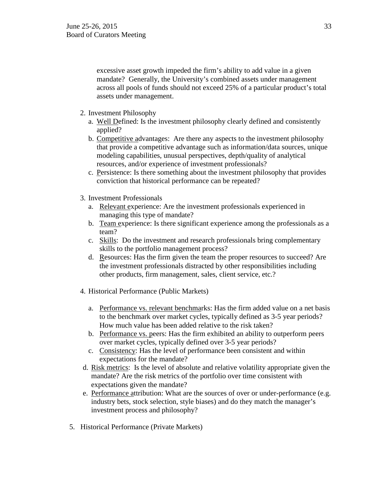excessive asset growth impeded the firm's ability to add value in a given mandate? Generally, the University's combined assets under management across all pools of funds should not exceed 25% of a particular product's total assets under management.

- 2. Investment Philosophy
	- a. Well Defined: Is the investment philosophy clearly defined and consistently applied?
	- b. Competitive advantages: Are there any aspects to the investment philosophy that provide a competitive advantage such as information/data sources, unique modeling capabilities, unusual perspectives, depth/quality of analytical resources, and/or experience of investment professionals?
	- c. Persistence: Is there something about the investment philosophy that provides conviction that historical performance can be repeated?
- 3. Investment Professionals
	- a. Relevant experience: Are the investment professionals experienced in managing this type of mandate?
	- b. Team experience: Is there significant experience among the professionals as a team?
	- c. Skills: Do the investment and research professionals bring complementary skills to the portfolio management process?
	- d. Resources: Has the firm given the team the proper resources to succeed? Are the investment professionals distracted by other responsibilities including other products, firm management, sales, client service, etc.?
- 4. Historical Performance (Public Markets)
	- a. Performance vs. relevant benchmarks: Has the firm added value on a net basis to the benchmark over market cycles, typically defined as 3-5 year periods? How much value has been added relative to the risk taken?
	- b. Performance vs. peers: Has the firm exhibited an ability to outperform peers over market cycles, typically defined over 3-5 year periods?
	- c. Consistency: Has the level of performance been consistent and within expectations for the mandate?
- d. Risk metrics: Is the level of absolute and relative volatility appropriate given the mandate? Are the risk metrics of the portfolio over time consistent with expectations given the mandate?
- e. Performance attribution: What are the sources of over or under-performance (e.g. industry bets, stock selection, style biases) and do they match the manager's investment process and philosophy?
- 5. Historical Performance (Private Markets)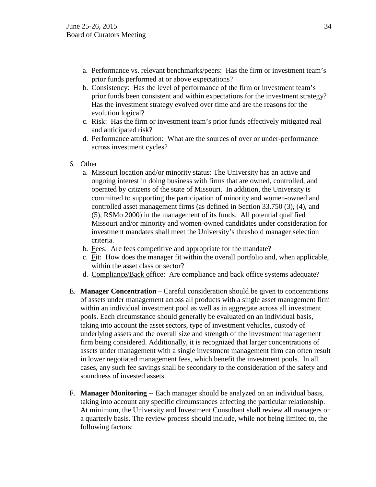- a. Performance vs. relevant benchmarks/peers: Has the firm or investment team's prior funds performed at or above expectations?
- b. Consistency: Has the level of performance of the firm or investment team's prior funds been consistent and within expectations for the investment strategy? Has the investment strategy evolved over time and are the reasons for the evolution logical?
- c. Risk: Has the firm or investment team's prior funds effectively mitigated real and anticipated risk?
- d. Performance attribution: What are the sources of over or under-performance across investment cycles?
- 6. Other
	- a. Missouri location and/or minority status: The University has an active and ongoing interest in doing business with firms that are owned, controlled, and operated by citizens of the state of Missouri. In addition, the University is committed to supporting the participation of minority and women-owned and controlled asset management firms (as defined in Section 33.750 (3), (4), and (5), RSMo 2000) in the management of its funds. All potential qualified Missouri and/or minority and women-owned candidates under consideration for investment mandates shall meet the University's threshold manager selection criteria.
	- b. Fees: Are fees competitive and appropriate for the mandate?
	- c. Fit: How does the manager fit within the overall portfolio and, when applicable, within the asset class or sector?
	- d. Compliance/Back office: Are compliance and back office systems adequate?
- E. **Manager Concentration**  Careful consideration should be given to concentrations of assets under management across all products with a single asset management firm within an individual investment pool as well as in aggregate across all investment pools. Each circumstance should generally be evaluated on an individual basis, taking into account the asset sectors, type of investment vehicles, custody of underlying assets and the overall size and strength of the investment management firm being considered. Additionally, it is recognized that larger concentrations of assets under management with a single investment management firm can often result in lower negotiated management fees, which benefit the investment pools. In all cases, any such fee savings shall be secondary to the consideration of the safety and soundness of invested assets.
- F. **Manager Monitoring** -- Each manager should be analyzed on an individual basis, taking into account any specific circumstances affecting the particular relationship. At minimum, the University and Investment Consultant shall review all managers on a quarterly basis. The review process should include, while not being limited to, the following factors: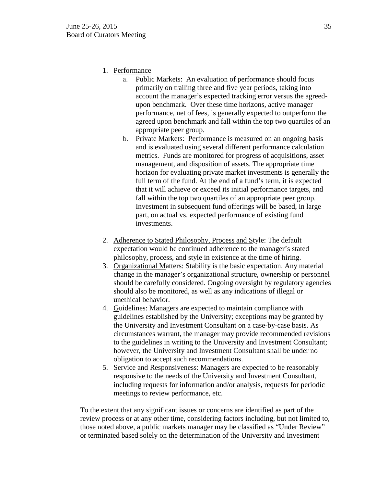# 1. Performance

- a. Public Markets: An evaluation of performance should focus primarily on trailing three and five year periods, taking into account the manager's expected tracking error versus the agreedupon benchmark. Over these time horizons, active manager performance, net of fees, is generally expected to outperform the agreed upon benchmark and fall within the top two quartiles of an appropriate peer group.
- b. Private Markets: Performance is measured on an ongoing basis and is evaluated using several different performance calculation metrics. Funds are monitored for progress of acquisitions, asset management, and disposition of assets. The appropriate time horizon for evaluating private market investments is generally the full term of the fund. At the end of a fund's term, it is expected that it will achieve or exceed its initial performance targets, and fall within the top two quartiles of an appropriate peer group. Investment in subsequent fund offerings will be based, in large part, on actual vs. expected performance of existing fund investments.
- 2. Adherence to Stated Philosophy, Process and Style: The default expectation would be continued adherence to the manager's stated philosophy, process, and style in existence at the time of hiring.
- 3. Organizational Matters: Stability is the basic expectation. Any material change in the manager's organizational structure, ownership or personnel should be carefully considered. Ongoing oversight by regulatory agencies should also be monitored, as well as any indications of illegal or unethical behavior.
- 4. Guidelines: Managers are expected to maintain compliance with guidelines established by the University; exceptions may be granted by the University and Investment Consultant on a case-by-case basis. As circumstances warrant, the manager may provide recommended revisions to the guidelines in writing to the University and Investment Consultant; however, the University and Investment Consultant shall be under no obligation to accept such recommendations.
- 5. Service and Responsiveness: Managers are expected to be reasonably responsive to the needs of the University and Investment Consultant, including requests for information and/or analysis, requests for periodic meetings to review performance, etc.

To the extent that any significant issues or concerns are identified as part of the review process or at any other time, considering factors including, but not limited to, those noted above, a public markets manager may be classified as "Under Review" or terminated based solely on the determination of the University and Investment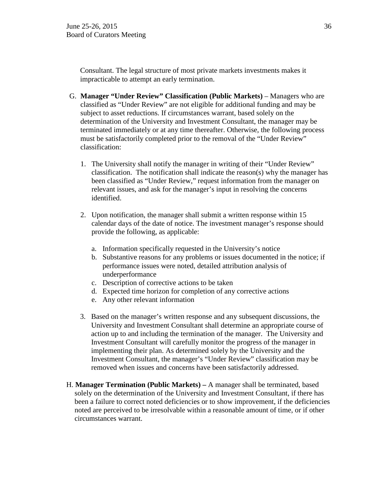Consultant. The legal structure of most private markets investments makes it impracticable to attempt an early termination.

- G. **Manager "Under Review" Classification (Public Markets)**  Managers who are classified as "Under Review" are not eligible for additional funding and may be subject to asset reductions. If circumstances warrant, based solely on the determination of the University and Investment Consultant, the manager may be terminated immediately or at any time thereafter. Otherwise, the following process must be satisfactorily completed prior to the removal of the "Under Review" classification:
	- 1. The University shall notify the manager in writing of their "Under Review" classification. The notification shall indicate the reason(s) why the manager has been classified as "Under Review," request information from the manager on relevant issues, and ask for the manager's input in resolving the concerns identified.
	- 2. Upon notification, the manager shall submit a written response within 15 calendar days of the date of notice. The investment manager's response should provide the following, as applicable:
		- a. Information specifically requested in the University's notice
		- b. Substantive reasons for any problems or issues documented in the notice; if performance issues were noted, detailed attribution analysis of underperformance
		- c. Description of corrective actions to be taken
		- d. Expected time horizon for completion of any corrective actions
		- e. Any other relevant information
	- 3. Based on the manager's written response and any subsequent discussions, the University and Investment Consultant shall determine an appropriate course of action up to and including the termination of the manager. The University and Investment Consultant will carefully monitor the progress of the manager in implementing their plan. As determined solely by the University and the Investment Consultant, the manager's "Under Review" classification may be removed when issues and concerns have been satisfactorily addressed.
- H. **Manager Termination (Public Markets) –** A manager shall be terminated, based solely on the determination of the University and Investment Consultant, if there has been a failure to correct noted deficiencies or to show improvement, if the deficiencies noted are perceived to be irresolvable within a reasonable amount of time, or if other circumstances warrant.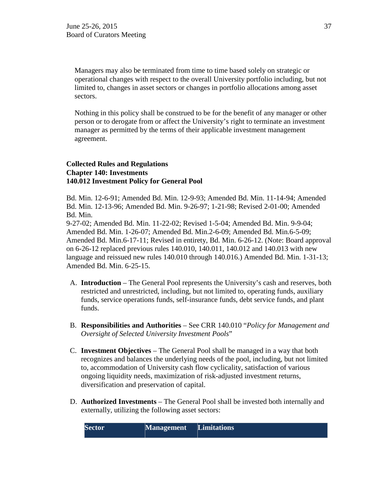Managers may also be terminated from time to time based solely on strategic or operational changes with respect to the overall University portfolio including, but not limited to, changes in asset sectors or changes in portfolio allocations among asset sectors.

Nothing in this policy shall be construed to be for the benefit of any manager or other person or to derogate from or affect the University's right to terminate an investment manager as permitted by the terms of their applicable investment management agreement.

### **Collected Rules and Regulations Chapter 140: Investments 140.012 Investment Policy for General Pool**

Bd. Min. 12-6-91; Amended Bd. Min. 12-9-93; Amended Bd. Min. 11-14-94; Amended Bd. Min. 12-13-96; Amended Bd. Min. 9-26-97; 1-21-98; Revised 2-01-00; Amended Bd. Min.

9-27-02; Amended Bd. Min. 11-22-02; Revised 1-5-04; Amended Bd. Min. 9-9-04; Amended Bd. Min. 1-26-07; Amended Bd. Min.2-6-09; Amended Bd. Min.6-5-09; Amended Bd. Min.6-17-11; Revised in entirety, Bd. Min. 6-26-12. (Note: Board approval on 6-26-12 replaced previous rules 140.010, 140.011, 140.012 and 140.013 with new language and reissued new rules 140.010 through 140.016.) Amended Bd. Min. 1-31-13; Amended Bd. Min. 6-25-15.

- A. **Introduction**  The General Pool represents the University's cash and reserves, both restricted and unrestricted, including, but not limited to, operating funds, auxiliary funds, service operations funds, self-insurance funds, debt service funds, and plant funds.
- B. **Responsibilities and Authorities**  See CRR 140.010 "*Policy for Management and Oversight of Selected University Investment Pools*"
- C. **Investment Objectives**  The General Pool shall be managed in a way that both recognizes and balances the underlying needs of the pool, including, but not limited to, accommodation of University cash flow cyclicality, satisfaction of various ongoing liquidity needs, maximization of risk-adjusted investment returns, diversification and preservation of capital.
- D. **Authorized Investments**  The General Pool shall be invested both internally and externally, utilizing the following asset sectors:

| <b>Sector</b> | Management | <b>Limitations</b> |
|---------------|------------|--------------------|
|               |            |                    |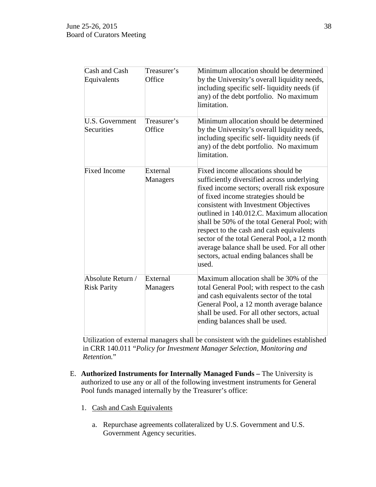| Cash and Cash<br>Equivalents            | Treasurer's<br>Office | Minimum allocation should be determined<br>by the University's overall liquidity needs,<br>including specific self-liquidity needs (if<br>any) of the debt portfolio. No maximum<br>limitation.                                                                                                                                                                                                                                                                                                                |
|-----------------------------------------|-----------------------|----------------------------------------------------------------------------------------------------------------------------------------------------------------------------------------------------------------------------------------------------------------------------------------------------------------------------------------------------------------------------------------------------------------------------------------------------------------------------------------------------------------|
| U.S. Government<br>Securities           | Treasurer's<br>Office | Minimum allocation should be determined<br>by the University's overall liquidity needs,<br>including specific self-liquidity needs (if<br>any) of the debt portfolio. No maximum<br>limitation.                                                                                                                                                                                                                                                                                                                |
| <b>Fixed Income</b>                     | External<br>Managers  | Fixed income allocations should be<br>sufficiently diversified across underlying<br>fixed income sectors; overall risk exposure<br>of fixed income strategies should be<br>consistent with Investment Objectives<br>outlined in 140.012.C. Maximum allocation<br>shall be 50% of the total General Pool; with<br>respect to the cash and cash equivalents<br>sector of the total General Pool, a 12 month<br>average balance shall be used. For all other<br>sectors, actual ending balances shall be<br>used. |
| Absolute Return /<br><b>Risk Parity</b> | External<br>Managers  | Maximum allocation shall be 30% of the<br>total General Pool; with respect to the cash<br>and cash equivalents sector of the total<br>General Pool, a 12 month average balance<br>shall be used. For all other sectors, actual<br>ending balances shall be used.                                                                                                                                                                                                                                               |

Utilization of external managers shall be consistent with the guidelines established in CRR 140.011 "*Policy for Investment Manager Selection, Monitoring and Retention.*"

- E. **Authorized Instruments for Internally Managed Funds –** The University is authorized to use any or all of the following investment instruments for General Pool funds managed internally by the Treasurer's office:
	- 1. Cash and Cash Equivalents
		- a. Repurchase agreements collateralized by U.S. Government and U.S. Government Agency securities.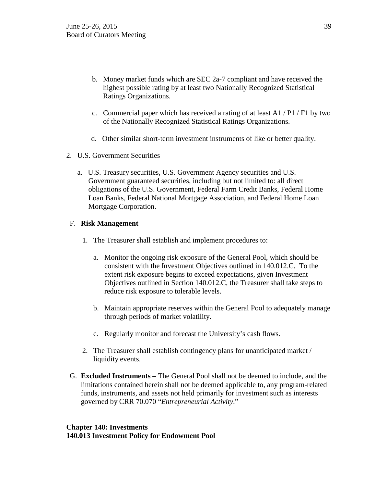- b. Money market funds which are SEC 2a-7 compliant and have received the highest possible rating by at least two Nationally Recognized Statistical Ratings Organizations.
- c. Commercial paper which has received a rating of at least A1 / P1 / F1 by two of the Nationally Recognized Statistical Ratings Organizations.
- d. Other similar short-term investment instruments of like or better quality.

# 2. U.S. Government Securities

a. U.S. Treasury securities, U.S. Government Agency securities and U.S. Government guaranteed securities, including but not limited to: all direct obligations of the U.S. Government, Federal Farm Credit Banks, Federal Home Loan Banks, Federal National Mortgage Association, and Federal Home Loan Mortgage Corporation.

# F. **Risk Management**

- 1. The Treasurer shall establish and implement procedures to:
	- a. Monitor the ongoing risk exposure of the General Pool, which should be consistent with the Investment Objectives outlined in 140.012.C. To the extent risk exposure begins to exceed expectations, given Investment Objectives outlined in Section 140.012.C, the Treasurer shall take steps to reduce risk exposure to tolerable levels.
	- b. Maintain appropriate reserves within the General Pool to adequately manage through periods of market volatility.
	- c. Regularly monitor and forecast the University's cash flows.
- 2. The Treasurer shall establish contingency plans for unanticipated market / liquidity events.
- G. **Excluded Instruments –** The General Pool shall not be deemed to include, and the limitations contained herein shall not be deemed applicable to, any program-related funds, instruments, and assets not held primarily for investment such as interests governed by CRR 70.070 "*Entrepreneurial Activity*."

### **Chapter 140: Investments 140.013 Investment Policy for Endowment Pool**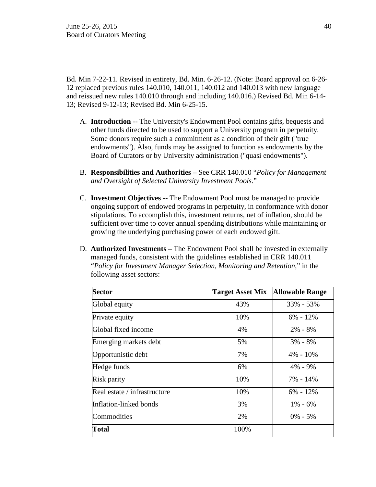Bd. Min 7-22-11. Revised in entirety, Bd. Min. 6-26-12. (Note: Board approval on 6-26- 12 replaced previous rules 140.010, 140.011, 140.012 and 140.013 with new language and reissued new rules 140.010 through and including 140.016.) Revised Bd. Min 6-14- 13; Revised 9-12-13; Revised Bd. Min 6-25-15.

- A. **Introduction** -- The University's Endowment Pool contains gifts, bequests and other funds directed to be used to support a University program in perpetuity. Some donors require such a commitment as a condition of their gift ("true endowments"). Also, funds may be assigned to function as endowments by the Board of Curators or by University administration ("quasi endowments").
- B. **Responsibilities and Authorities –** See CRR 140.010 "*Policy for Management and Oversight of Selected University Investment Pools*."
- C. **Investment Objectives --** The Endowment Pool must be managed to provide ongoing support of endowed programs in perpetuity, in conformance with donor stipulations. To accomplish this, investment returns, net of inflation, should be sufficient over time to cover annual spending distributions while maintaining or growing the underlying purchasing power of each endowed gift.
- D. **Authorized Investments –** The Endowment Pool shall be invested in externally managed funds, consistent with the guidelines established in CRR 140.011 "*Policy for Investment Manager Selection, Monitoring and Retention*," in the following asset sectors:

| <b>Sector</b>                | <b>Target Asset Mix</b> | <b>Allowable Range</b> |
|------------------------------|-------------------------|------------------------|
| Global equity                | 43%                     | 33% - 53%              |
| Private equity               | 10%                     | $6\% - 12\%$           |
| Global fixed income          | 4%                      | $2\% - 8\%$            |
| Emerging markets debt        | 5%                      | $3\% - 8\%$            |
| Opportunistic debt           | 7%                      | 4% - 10%               |
| Hedge funds                  | 6%                      | $4\% - 9\%$            |
| Risk parity                  | 10%                     | 7% - 14%               |
| Real estate / infrastructure | 10%                     | $6\% - 12\%$           |
| Inflation-linked bonds       | 3%                      | $1\% - 6\%$            |
| Commodities                  | 2%                      | $0\% - 5\%$            |
| <b>Total</b>                 | 100%                    |                        |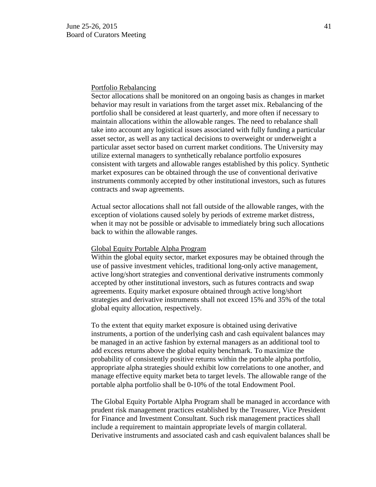### Portfolio Rebalancing

Sector allocations shall be monitored on an ongoing basis as changes in market behavior may result in variations from the target asset mix. Rebalancing of the portfolio shall be considered at least quarterly, and more often if necessary to maintain allocations within the allowable ranges. The need to rebalance shall take into account any logistical issues associated with fully funding a particular asset sector, as well as any tactical decisions to overweight or underweight a particular asset sector based on current market conditions. The University may utilize external managers to synthetically rebalance portfolio exposures consistent with targets and allowable ranges established by this policy. Synthetic market exposures can be obtained through the use of conventional derivative instruments commonly accepted by other institutional investors, such as futures contracts and swap agreements.

Actual sector allocations shall not fall outside of the allowable ranges, with the exception of violations caused solely by periods of extreme market distress, when it may not be possible or advisable to immediately bring such allocations back to within the allowable ranges.

### Global Equity Portable Alpha Program

Within the global equity sector, market exposures may be obtained through the use of passive investment vehicles, traditional long-only active management, active long/short strategies and conventional derivative instruments commonly accepted by other institutional investors, such as futures contracts and swap agreements. Equity market exposure obtained through active long/short strategies and derivative instruments shall not exceed 15% and 35% of the total global equity allocation, respectively.

To the extent that equity market exposure is obtained using derivative instruments, a portion of the underlying cash and cash equivalent balances may be managed in an active fashion by external managers as an additional tool to add excess returns above the global equity benchmark. To maximize the probability of consistently positive returns within the portable alpha portfolio, appropriate alpha strategies should exhibit low correlations to one another, and manage effective equity market beta to target levels. The allowable range of the portable alpha portfolio shall be 0-10% of the total Endowment Pool.

The Global Equity Portable Alpha Program shall be managed in accordance with prudent risk management practices established by the Treasurer, Vice President for Finance and Investment Consultant. Such risk management practices shall include a requirement to maintain appropriate levels of margin collateral. Derivative instruments and associated cash and cash equivalent balances shall be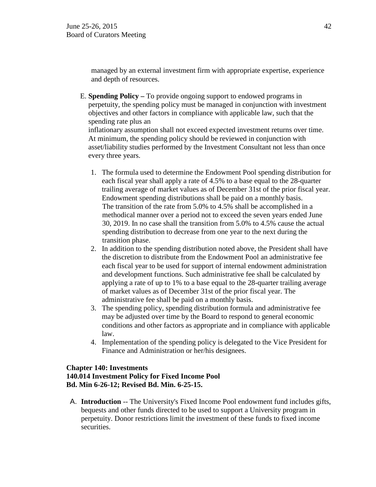managed by an external investment firm with appropriate expertise, experience and depth of resources.

E. **Spending Policy –** To provide ongoing support to endowed programs in perpetuity, the spending policy must be managed in conjunction with investment objectives and other factors in compliance with applicable law, such that the spending rate plus an inflationary assumption shall not exceed expected investment returns over time. At minimum, the spending policy should be reviewed in conjunction with

asset/liability studies performed by the Investment Consultant not less than once every three years.

- 1. The formula used to determine the Endowment Pool spending distribution for each fiscal year shall apply a rate of 4.5% to a base equal to the 28-quarter trailing average of market values as of December 31st of the prior fiscal year. Endowment spending distributions shall be paid on a monthly basis. The transition of the rate from 5.0% to 4.5% shall be accomplished in a methodical manner over a period not to exceed the seven years ended June 30, 2019. In no case shall the transition from 5.0% to 4.5% cause the actual spending distribution to decrease from one year to the next during the transition phase.
- 2. In addition to the spending distribution noted above, the President shall have the discretion to distribute from the Endowment Pool an administrative fee each fiscal year to be used for support of internal endowment administration and development functions. Such administrative fee shall be calculated by applying a rate of up to 1% to a base equal to the 28-quarter trailing average of market values as of December 31st of the prior fiscal year. The administrative fee shall be paid on a monthly basis.
- 3. The spending policy, spending distribution formula and administrative fee may be adjusted over time by the Board to respond to general economic conditions and other factors as appropriate and in compliance with applicable law.
- 4. Implementation of the spending policy is delegated to the Vice President for Finance and Administration or her/his designees.

### **Chapter 140: Investments 140.014 Investment Policy for Fixed Income Pool Bd. Min 6-26-12; Revised Bd. Min. 6-25-15.**

A. **Introduction** -- The University's Fixed Income Pool endowment fund includes gifts, bequests and other funds directed to be used to support a University program in perpetuity. Donor restrictions limit the investment of these funds to fixed income securities.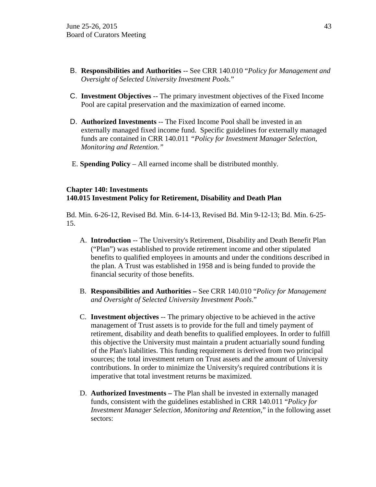- B. **Responsibilities and Authorities** -- See CRR 140.010 "*Policy for Management and Oversight of Selected University Investment Pools.*"
- C. **Investment Objectives** -- The primary investment objectives of the Fixed Income Pool are capital preservation and the maximization of earned income.
- D. **Authorized Investments** -- The Fixed Income Pool shall be invested in an externally managed fixed income fund. Specific guidelines for externally managed funds are contained in CRR 140.011 *"Policy for Investment Manager Selection, Monitoring and Retention."*
- E. **Spending Policy**  All earned income shall be distributed monthly.

### **Chapter 140: Investments 140.015 Investment Policy for Retirement, Disability and Death Plan**

Bd. Min. 6-26-12, Revised Bd. Min. 6-14-13, Revised Bd. Min 9-12-13; Bd. Min. 6-25- 15.

- A. **Introduction** -- The University's Retirement, Disability and Death Benefit Plan ("Plan") was established to provide retirement income and other stipulated benefits to qualified employees in amounts and under the conditions described in the plan. A Trust was established in 1958 and is being funded to provide the financial security of those benefits.
- B. **Responsibilities and Authorities –** See CRR 140.010 "*Policy for Management and Oversight of Selected University Investment Pools*."
- C. **Investment objectives** -- The primary objective to be achieved in the active management of Trust assets is to provide for the full and timely payment of retirement, disability and death benefits to qualified employees. In order to fulfill this objective the University must maintain a prudent actuarially sound funding of the Plan's liabilities. This funding requirement is derived from two principal sources; the total investment return on Trust assets and the amount of University contributions. In order to minimize the University's required contributions it is imperative that total investment returns be maximized.
- D. **Authorized Investments –** The Plan shall be invested in externally managed funds, consistent with the guidelines established in CRR 140.011 "*Policy for Investment Manager Selection, Monitoring and Retention*," in the following asset sectors: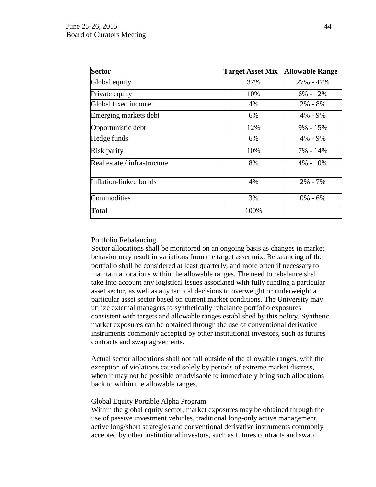| <b>Sector</b>                | <b>Target Asset Mix</b> | <b>Allowable Range</b> |
|------------------------------|-------------------------|------------------------|
| Global equity                | 37%                     | 27% - 47%              |
| Private equity               | 10%                     | $6\% - 12\%$           |
| Global fixed income          | 4%                      | $2\% - 8\%$            |
| Emerging markets debt        | 6%                      | 4% - 9%                |
| Opportunistic debt           | 12%                     | $9\% - 15\%$           |
| Hedge funds                  | 6%                      | $4\% - 9\%$            |
| <b>Risk parity</b>           | 10%                     | 7% - 14%               |
| Real estate / infrastructure | 8%                      | $4\% - 10\%$           |
| Inflation-linked bonds       | 4%                      | $2\% - 7\%$            |
| Commodities                  | 3%                      | $0\% - 6\%$            |
| <b>Total</b>                 | 100%                    |                        |

### Portfolio Rebalancing

Sector allocations shall be monitored on an ongoing basis as changes in market behavior may result in variations from the target asset mix. Rebalancing of the portfolio shall be considered at least quarterly, and more often if necessary to maintain allocations within the allowable ranges. The need to rebalance shall take into account any logistical issues associated with fully funding a particular asset sector, as well as any tactical decisions to overweight or underweight a particular asset sector based on current market conditions. The University may utilize external managers to synthetically rebalance portfolio exposures consistent with targets and allowable ranges established by this policy. Synthetic market exposures can be obtained through the use of conventional derivative instruments commonly accepted by other institutional investors, such as futures contracts and swap agreements.

Actual sector allocations shall not fall outside of the allowable ranges, with the exception of violations caused solely by periods of extreme market distress, when it may not be possible or advisable to immediately bring such allocations back to within the allowable ranges.

#### Global Equity Portable Alpha Program

Within the global equity sector, market exposures may be obtained through the use of passive investment vehicles, traditional long-only active management, active long/short strategies and conventional derivative instruments commonly accepted by other institutional investors, such as futures contracts and swap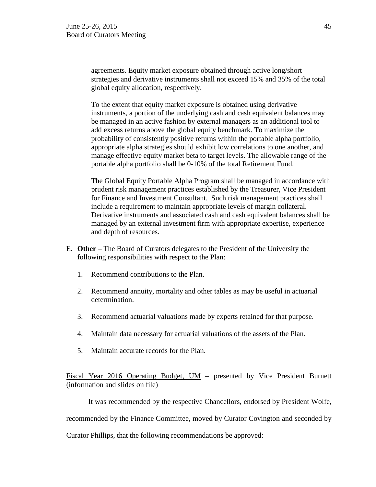agreements. Equity market exposure obtained through active long/short strategies and derivative instruments shall not exceed 15% and 35% of the total global equity allocation, respectively.

To the extent that equity market exposure is obtained using derivative instruments, a portion of the underlying cash and cash equivalent balances may be managed in an active fashion by external managers as an additional tool to add excess returns above the global equity benchmark. To maximize the probability of consistently positive returns within the portable alpha portfolio, appropriate alpha strategies should exhibit low correlations to one another, and manage effective equity market beta to target levels. The allowable range of the portable alpha portfolio shall be 0-10% of the total Retirement Fund.

The Global Equity Portable Alpha Program shall be managed in accordance with prudent risk management practices established by the Treasurer, Vice President for Finance and Investment Consultant. Such risk management practices shall include a requirement to maintain appropriate levels of margin collateral. Derivative instruments and associated cash and cash equivalent balances shall be managed by an external investment firm with appropriate expertise, experience and depth of resources.

- E. **Other**  The Board of Curators delegates to the President of the University the following responsibilities with respect to the Plan:
	- 1. Recommend contributions to the Plan.
	- 2. Recommend annuity, mortality and other tables as may be useful in actuarial determination.
	- 3. Recommend actuarial valuations made by experts retained for that purpose.
	- 4. Maintain data necessary for actuarial valuations of the assets of the Plan.
	- 5. Maintain accurate records for the Plan.

Fiscal Year 2016 Operating Budget, UM – presented by Vice President Burnett (information and slides on file)

It was recommended by the respective Chancellors, endorsed by President Wolfe,

recommended by the Finance Committee, moved by Curator Covington and seconded by

Curator Phillips, that the following recommendations be approved: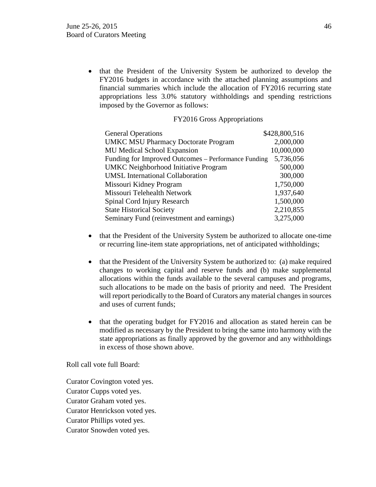• that the President of the University System be authorized to develop the FY2016 budgets in accordance with the attached planning assumptions and financial summaries which include the allocation of FY2016 recurring state appropriations less 3.0% statutory withholdings and spending restrictions imposed by the Governor as follows:

#### FY2016 Gross Appropriations

| <b>General Operations</b>                           | \$428,800,516 |
|-----------------------------------------------------|---------------|
| <b>UMKC MSU Pharmacy Doctorate Program</b>          | 2,000,000     |
| <b>MU Medical School Expansion</b>                  | 10,000,000    |
| Funding for Improved Outcomes – Performance Funding | 5,736,056     |
| <b>UMKC</b> Neighborhood Initiative Program         | 500,000       |
| <b>UMSL International Collaboration</b>             | 300,000       |
| Missouri Kidney Program                             | 1,750,000     |
| Missouri Telehealth Network                         | 1,937,640     |
| Spinal Cord Injury Research                         | 1,500,000     |
| <b>State Historical Society</b>                     | 2,210,855     |
| Seminary Fund (reinvestment and earnings)           | 3,275,000     |

- that the President of the University System be authorized to allocate one-time or recurring line-item state appropriations, net of anticipated withholdings;
- that the President of the University System be authorized to: (a) make required changes to working capital and reserve funds and (b) make supplemental allocations within the funds available to the several campuses and programs, such allocations to be made on the basis of priority and need. The President will report periodically to the Board of Curators any material changes in sources and uses of current funds;
- that the operating budget for FY2016 and allocation as stated herein can be modified as necessary by the President to bring the same into harmony with the state appropriations as finally approved by the governor and any withholdings in excess of those shown above.

Roll call vote full Board:

Curator Covington voted yes. Curator Cupps voted yes. Curator Graham voted yes. Curator Henrickson voted yes. Curator Phillips voted yes. Curator Snowden voted yes.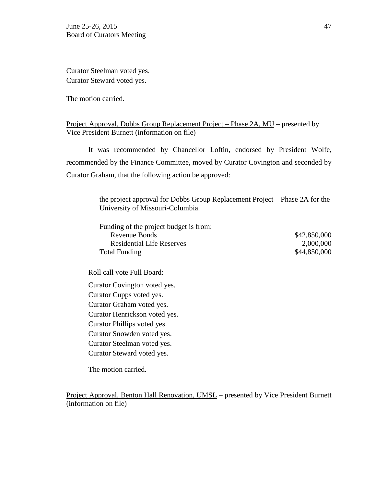Curator Steelman voted yes. Curator Steward voted yes.

The motion carried.

# Project Approval, Dobbs Group Replacement Project – Phase 2A, MU – presented by Vice President Burnett (information on file)

It was recommended by Chancellor Loftin, endorsed by President Wolfe, recommended by the Finance Committee, moved by Curator Covington and seconded by Curator Graham, that the following action be approved:

> the project approval for Dobbs Group Replacement Project – Phase 2A for the University of Missouri-Columbia.

| Funding of the project budget is from: |              |
|----------------------------------------|--------------|
| Revenue Bonds                          | \$42,850,000 |
| <b>Residential Life Reserves</b>       | 2,000,000    |
| Total Funding                          | \$44,850,000 |

Roll call vote Full Board:

Curator Covington voted yes. Curator Cupps voted yes. Curator Graham voted yes. Curator Henrickson voted yes. Curator Phillips voted yes. Curator Snowden voted yes. Curator Steelman voted yes. Curator Steward voted yes.

The motion carried.

Project Approval, Benton Hall Renovation, UMSL – presented by Vice President Burnett (information on file)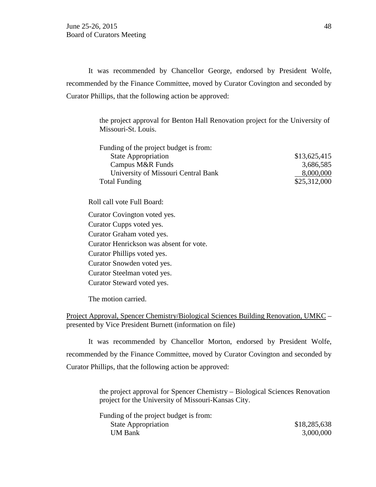It was recommended by Chancellor George, endorsed by President Wolfe, recommended by the Finance Committee, moved by Curator Covington and seconded by Curator Phillips, that the following action be approved:

> the project approval for Benton Hall Renovation project for the University of Missouri-St. Louis.

| Funding of the project budget is from: |              |
|----------------------------------------|--------------|
| <b>State Appropriation</b>             | \$13,625,415 |
| Campus M&R Funds                       | 3,686,585    |
| University of Missouri Central Bank    | 8,000,000    |
| <b>Total Funding</b>                   | \$25,312,000 |

Roll call vote Full Board:

Curator Covington voted yes.

Curator Cupps voted yes. Curator Graham voted yes. Curator Henrickson was absent for vote. Curator Phillips voted yes. Curator Snowden voted yes. Curator Steelman voted yes. Curator Steward voted yes.

The motion carried.

Project Approval, Spencer Chemistry/Biological Sciences Building Renovation, UMKC – presented by Vice President Burnett (information on file)

It was recommended by Chancellor Morton, endorsed by President Wolfe, recommended by the Finance Committee, moved by Curator Covington and seconded by Curator Phillips, that the following action be approved:

> the project approval for Spencer Chemistry – Biological Sciences Renovation project for the University of Missouri-Kansas City.

| Funding of the project budget is from: |  |
|----------------------------------------|--|
| <b>State Appropriation</b>             |  |
| <b>UM Bank</b>                         |  |

\$18,285,638 3,000,000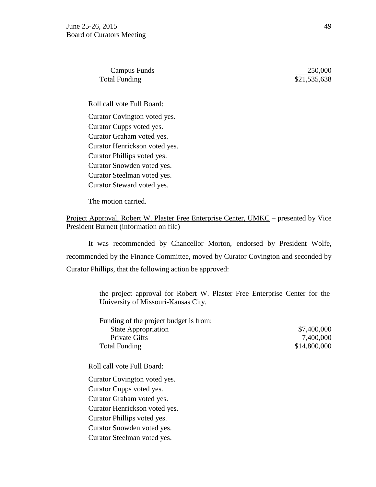Campus Funds 250,000 Total Funding \$21,535,638

Roll call vote Full Board: Curator Covington voted yes. Curator Cupps voted yes. Curator Graham voted yes. Curator Henrickson voted yes. Curator Phillips voted yes. Curator Snowden voted yes. Curator Steelman voted yes. Curator Steward voted yes.

The motion carried.

Project Approval, Robert W. Plaster Free Enterprise Center, UMKC – presented by Vice President Burnett (information on file)

It was recommended by Chancellor Morton, endorsed by President Wolfe, recommended by the Finance Committee, moved by Curator Covington and seconded by Curator Phillips, that the following action be approved:

> the project approval for Robert W. Plaster Free Enterprise Center for the University of Missouri-Kansas City.

> Funding of the project budget is from: State Appropriation  $$7,400,000$ Private Gifts 27,400,000 Total Funding \$14,800,000

Roll call vote Full Board:

Curator Covington voted yes. Curator Cupps voted yes. Curator Graham voted yes. Curator Henrickson voted yes. Curator Phillips voted yes. Curator Snowden voted yes. Curator Steelman voted yes.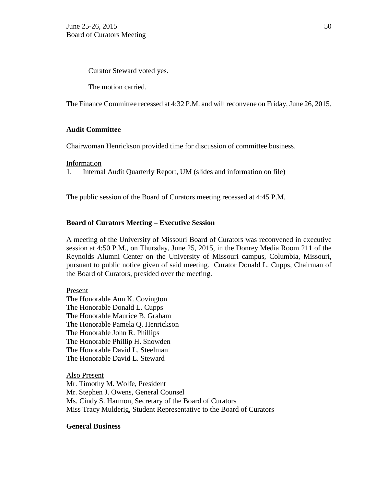Curator Steward voted yes.

The motion carried.

The Finance Committee recessed at 4:32 P.M. and will reconvene on Friday, June 26, 2015.

### **Audit Committee**

Chairwoman Henrickson provided time for discussion of committee business.

Information

1. Internal Audit Quarterly Report, UM (slides and information on file)

The public session of the Board of Curators meeting recessed at 4:45 P.M.

### **Board of Curators Meeting – Executive Session**

A meeting of the University of Missouri Board of Curators was reconvened in executive session at 4:50 P.M., on Thursday, June 25, 2015, in the Donrey Media Room 211 of the Reynolds Alumni Center on the University of Missouri campus, Columbia, Missouri, pursuant to public notice given of said meeting. Curator Donald L. Cupps, Chairman of the Board of Curators, presided over the meeting.

Present

The Honorable Ann K. Covington The Honorable Donald L. Cupps The Honorable Maurice B. Graham The Honorable Pamela Q. Henrickson The Honorable John R. Phillips The Honorable Phillip H. Snowden The Honorable David L. Steelman The Honorable David L. Steward

Also Present Mr. Timothy M. Wolfe, President Mr. Stephen J. Owens, General Counsel Ms. Cindy S. Harmon, Secretary of the Board of Curators Miss Tracy Mulderig, Student Representative to the Board of Curators

#### **General Business**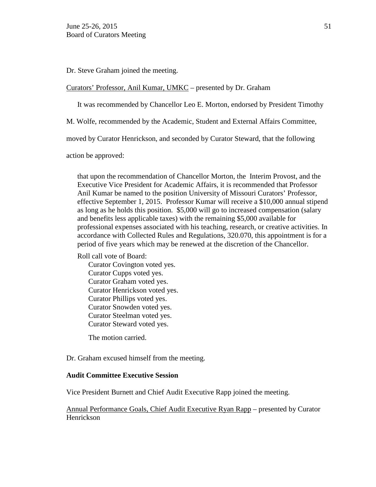Dr. Steve Graham joined the meeting.

#### Curators' Professor, Anil Kumar, UMKC – presented by Dr. Graham

It was recommended by Chancellor Leo E. Morton, endorsed by President Timothy

M. Wolfe, recommended by the Academic, Student and External Affairs Committee,

moved by Curator Henrickson, and seconded by Curator Steward, that the following

action be approved:

that upon the recommendation of Chancellor Morton, the Interim Provost, and the Executive Vice President for Academic Affairs, it is recommended that Professor Anil Kumar be named to the position University of Missouri Curators' Professor, effective September 1, 2015. Professor Kumar will receive a \$10,000 annual stipend as long as he holds this position. \$5,000 will go to increased compensation (salary and benefits less applicable taxes) with the remaining \$5,000 available for professional expenses associated with his teaching, research, or creative activities. In accordance with Collected Rules and Regulations, 320.070, this appointment is for a period of five years which may be renewed at the discretion of the Chancellor.

Roll call vote of Board:

Curator Covington voted yes. Curator Cupps voted yes. Curator Graham voted yes. Curator Henrickson voted yes. Curator Phillips voted yes. Curator Snowden voted yes. Curator Steelman voted yes. Curator Steward voted yes.

The motion carried.

Dr. Graham excused himself from the meeting.

#### **Audit Committee Executive Session**

Vice President Burnett and Chief Audit Executive Rapp joined the meeting.

Annual Performance Goals, Chief Audit Executive Ryan Rapp – presented by Curator Henrickson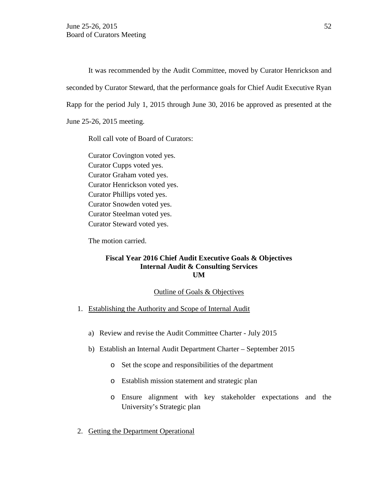It was recommended by the Audit Committee, moved by Curator Henrickson and seconded by Curator Steward, that the performance goals for Chief Audit Executive Ryan Rapp for the period July 1, 2015 through June 30, 2016 be approved as presented at the June 25-26, 2015 meeting.

Roll call vote of Board of Curators:

Curator Covington voted yes. Curator Cupps voted yes. Curator Graham voted yes. Curator Henrickson voted yes. Curator Phillips voted yes. Curator Snowden voted yes. Curator Steelman voted yes. Curator Steward voted yes.

The motion carried.

### **Fiscal Year 2016 Chief Audit Executive Goals & Objectives Internal Audit & Consulting Services UM**

#### Outline of Goals & Objectives

- 1. Establishing the Authority and Scope of Internal Audit
	- a) Review and revise the Audit Committee Charter July 2015
	- b) Establish an Internal Audit Department Charter September 2015
		- o Set the scope and responsibilities of the department
		- o Establish mission statement and strategic plan
		- o Ensure alignment with key stakeholder expectations and the University's Strategic plan
- 2. Getting the Department Operational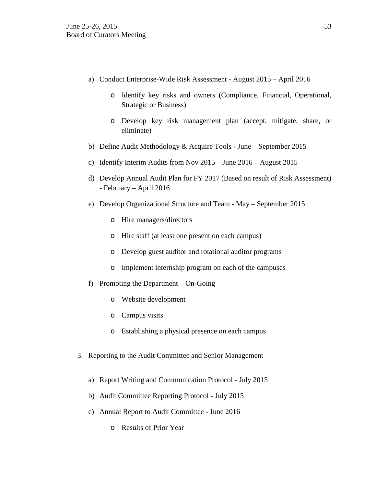- a) Conduct Enterprise-Wide Risk Assessment August 2015 April 2016
	- o Identify key risks and owners (Compliance, Financial, Operational, Strategic or Business)
	- o Develop key risk management plan (accept, mitigate, share, or eliminate)
- b) Define Audit Methodology & Acquire Tools **-** June September 2015
- c) Identify Interim Audits from Nov 2015 June 2016 August 2015
- d) Develop Annual Audit Plan for FY 2017 (Based on result of Risk Assessment) - February – April 2016
- e) Develop Organizational Structure and Team **-** May September 2015
	- o Hire managers/directors
	- o Hire staff (at least one present on each campus)
	- o Develop guest auditor and rotational auditor programs
	- o Implement internship program on each of the campuses
- f) Promoting the Department On-Going
	- o Website development
	- o Campus visits
	- o Establishing a physical presence on each campus
- 3. Reporting to the Audit Committee and Senior Management
	- a) Report Writing and Communication Protocol July 2015
	- b) Audit Committee Reporting Protocol **-** July 2015
	- c) Annual Report to Audit Committee June 2016
		- o Results of Prior Year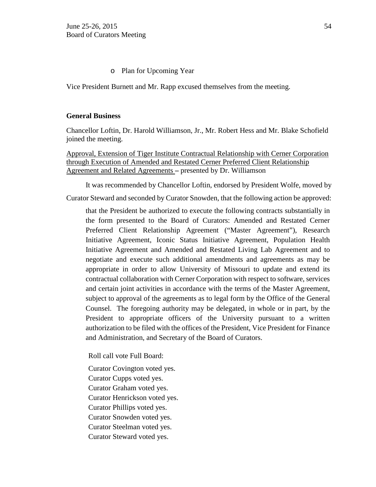### o Plan for Upcoming Year

Vice President Burnett and Mr. Rapp excused themselves from the meeting.

### **General Business**

Chancellor Loftin, Dr. Harold Williamson, Jr., Mr. Robert Hess and Mr. Blake Schofield joined the meeting.

Approval, Extension of Tiger Institute Contractual Relationship with Cerner Corporation through Execution of Amended and Restated Cerner Preferred Client Relationship Agreement and Related Agreements **–** presented by Dr. Williamson

It was recommended by Chancellor Loftin, endorsed by President Wolfe, moved by

Curator Steward and seconded by Curator Snowden, that the following action be approved:

that the President be authorized to execute the following contracts substantially in the form presented to the Board of Curators: Amended and Restated Cerner Preferred Client Relationship Agreement ("Master Agreement"), Research Initiative Agreement, Iconic Status Initiative Agreement, Population Health Initiative Agreement and Amended and Restated Living Lab Agreement and to negotiate and execute such additional amendments and agreements as may be appropriate in order to allow University of Missouri to update and extend its contractual collaboration with Cerner Corporation with respect to software, services and certain joint activities in accordance with the terms of the Master Agreement, subject to approval of the agreements as to legal form by the Office of the General Counsel. The foregoing authority may be delegated, in whole or in part, by the President to appropriate officers of the University pursuant to a written authorization to be filed with the offices of the President, Vice President for Finance and Administration, and Secretary of the Board of Curators.

Roll call vote Full Board:

Curator Covington voted yes.

Curator Cupps voted yes.

Curator Graham voted yes.

Curator Henrickson voted yes.

Curator Phillips voted yes.

Curator Snowden voted yes.

Curator Steelman voted yes.

Curator Steward voted yes.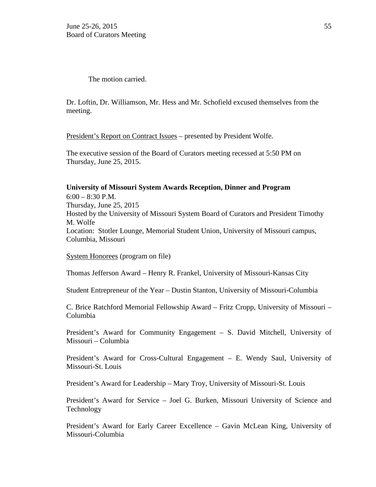The motion carried.

Dr. Loftin, Dr. Williamson, Mr. Hess and Mr. Schofield excused themselves from the meeting.

President's Report on Contract Issues – presented by President Wolfe.

The executive session of the Board of Curators meeting recessed at 5:50 PM on Thursday, June 25, 2015.

### **University of Missouri System Awards Reception, Dinner and Program**

 $6:00 - 8:30$  P.M. Thursday, June 25, 2015 Hosted by the University of Missouri System Board of Curators and President Timothy M. Wolfe Location: Stotler Lounge, Memorial Student Union, University of Missouri campus, Columbia, Missouri

System Honorees (program on file)

Thomas Jefferson Award – Henry R. Frankel, University of Missouri-Kansas City

Student Entrepreneur of the Year – Dustin Stanton, University of Missouri-Columbia

C. Brice Ratchford Memorial Fellowship Award – Fritz Cropp, University of Missouri – Columbia

President's Award for Community Engagement – S. David Mitchell, University of Missouri – Columbia

President's Award for Cross-Cultural Engagement – E. Wendy Saul, University of Missouri-St. Louis

President's Award for Leadership – Mary Troy, University of Missouri-St. Louis

President's Award for Service – Joel G. Burken, Missouri University of Science and Technology

President's Award for Early Career Excellence – Gavin McLean King, University of Missouri-Columbia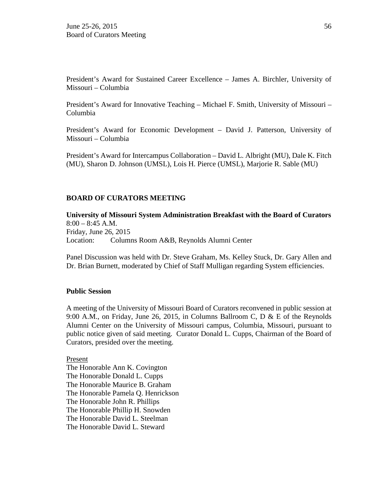President's Award for Sustained Career Excellence – James A. Birchler, University of Missouri – Columbia

President's Award for Innovative Teaching – Michael F. Smith, University of Missouri – Columbia

President's Award for Economic Development – David J. Patterson, University of Missouri – Columbia

President's Award for Intercampus Collaboration – David L. Albright (MU), Dale K. Fitch (MU), Sharon D. Johnson (UMSL), Lois H. Pierce (UMSL), Marjorie R. Sable (MU)

### **BOARD OF CURATORS MEETING**

**University of Missouri System Administration Breakfast with the Board of Curators** 8:00 – 8:45 A.M. Friday, June 26, 2015 Location: Columns Room A&B, Reynolds Alumni Center

Panel Discussion was held with Dr. Steve Graham, Ms. Kelley Stuck, Dr. Gary Allen and Dr. Brian Burnett, moderated by Chief of Staff Mulligan regarding System efficiencies.

#### **Public Session**

A meeting of the University of Missouri Board of Curators reconvened in public session at 9:00 A.M., on Friday, June 26, 2015, in Columns Ballroom C, D & E of the Reynolds Alumni Center on the University of Missouri campus, Columbia, Missouri, pursuant to public notice given of said meeting. Curator Donald L. Cupps, Chairman of the Board of Curators, presided over the meeting.

Present

The Honorable Ann K. Covington The Honorable Donald L. Cupps The Honorable Maurice B. Graham The Honorable Pamela Q. Henrickson The Honorable John R. Phillips The Honorable Phillip H. Snowden The Honorable David L. Steelman The Honorable David L. Steward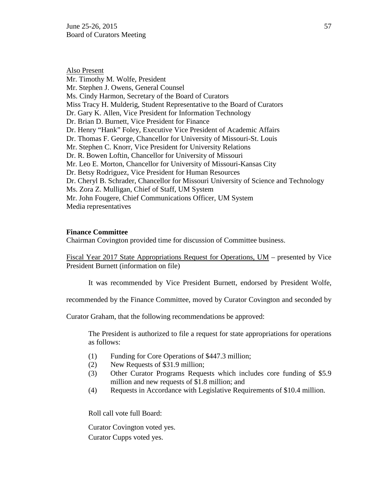June 25-26, 2015  $\frac{57}{2}$ Board of Curators Meeting

Also Present Mr. Timothy M. Wolfe, President Mr. Stephen J. Owens, General Counsel Ms. Cindy Harmon, Secretary of the Board of Curators Miss Tracy H. Mulderig, Student Representative to the Board of Curators Dr. Gary K. Allen, Vice President for Information Technology Dr. Brian D. Burnett, Vice President for Finance Dr. Henry "Hank" Foley, Executive Vice President of Academic Affairs Dr. Thomas F. George, Chancellor for University of Missouri-St. Louis Mr. Stephen C. Knorr, Vice President for University Relations Dr. R. Bowen Loftin, Chancellor for University of Missouri Mr. Leo E. Morton, Chancellor for University of Missouri-Kansas City Dr. Betsy Rodriguez, Vice President for Human Resources Dr. Cheryl B. Schrader, Chancellor for Missouri University of Science and Technology Ms. Zora Z. Mulligan, Chief of Staff, UM System Mr. John Fougere, Chief Communications Officer, UM System Media representatives

#### **Finance Committee**

Chairman Covington provided time for discussion of Committee business.

Fiscal Year 2017 State Appropriations Request for Operations, UM – presented by Vice President Burnett (information on file)

It was recommended by Vice President Burnett, endorsed by President Wolfe,

recommended by the Finance Committee, moved by Curator Covington and seconded by

Curator Graham, that the following recommendations be approved:

The President is authorized to file a request for state appropriations for operations as follows:

- (1) Funding for Core Operations of \$447.3 million;
- (2) New Requests of \$31.9 million;
- (3) Other Curator Programs Requests which includes core funding of \$5.9 million and new requests of \$1.8 million; and
- (4) Requests in Accordance with Legislative Requirements of \$10.4 million.

Roll call vote full Board:

Curator Covington voted yes. Curator Cupps voted yes.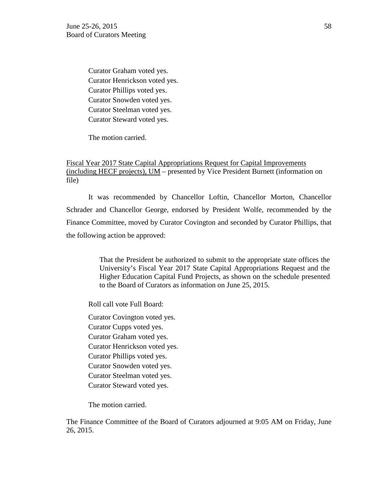Curator Graham voted yes. Curator Henrickson voted yes. Curator Phillips voted yes. Curator Snowden voted yes. Curator Steelman voted yes. Curator Steward voted yes.

The motion carried.

# Fiscal Year 2017 State Capital Appropriations Request for Capital Improvements (including HECF projects), UM – presented by Vice President Burnett (information on file)

It was recommended by Chancellor Loftin, Chancellor Morton, Chancellor Schrader and Chancellor George, endorsed by President Wolfe, recommended by the Finance Committee, moved by Curator Covington and seconded by Curator Phillips, that the following action be approved:

> That the President be authorized to submit to the appropriate state offices the University's Fiscal Year 2017 State Capital Appropriations Request and the Higher Education Capital Fund Projects, as shown on the schedule presented to the Board of Curators as information on June 25, 2015.

Roll call vote Full Board:

Curator Covington voted yes. Curator Cupps voted yes. Curator Graham voted yes. Curator Henrickson voted yes. Curator Phillips voted yes. Curator Snowden voted yes. Curator Steelman voted yes. Curator Steward voted yes.

The motion carried.

The Finance Committee of the Board of Curators adjourned at 9:05 AM on Friday, June 26, 2015.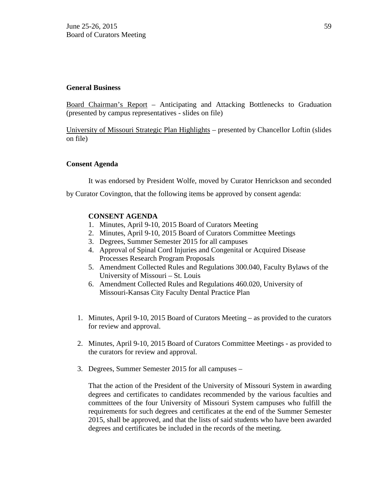### **General Business**

Board Chairman's Report – Anticipating and Attacking Bottlenecks to Graduation (presented by campus representatives - slides on file)

University of Missouri Strategic Plan Highlights – presented by Chancellor Loftin (slides on file)

### **Consent Agenda**

It was endorsed by President Wolfe, moved by Curator Henrickson and seconded

by Curator Covington, that the following items be approved by consent agenda:

# **CONSENT AGENDA**

- 1. Minutes, April 9-10, 2015 Board of Curators Meeting
- 2. Minutes, April 9-10, 2015 Board of Curators Committee Meetings
- 3. Degrees, Summer Semester 2015 for all campuses
- 4. Approval of Spinal Cord Injuries and Congenital or Acquired Disease Processes Research Program Proposals
- 5. Amendment Collected Rules and Regulations 300.040, Faculty Bylaws of the University of Missouri – St. Louis
- 6. Amendment Collected Rules and Regulations 460.020, University of Missouri-Kansas City Faculty Dental Practice Plan
- 1. Minutes, April 9-10, 2015 Board of Curators Meeting as provided to the curators for review and approval.
- 2. Minutes, April 9-10, 2015 Board of Curators Committee Meetings as provided to the curators for review and approval.
- 3. Degrees, Summer Semester 2015 for all campuses –

That the action of the President of the University of Missouri System in awarding degrees and certificates to candidates recommended by the various faculties and committees of the four University of Missouri System campuses who fulfill the requirements for such degrees and certificates at the end of the Summer Semester 2015, shall be approved, and that the lists of said students who have been awarded degrees and certificates be included in the records of the meeting.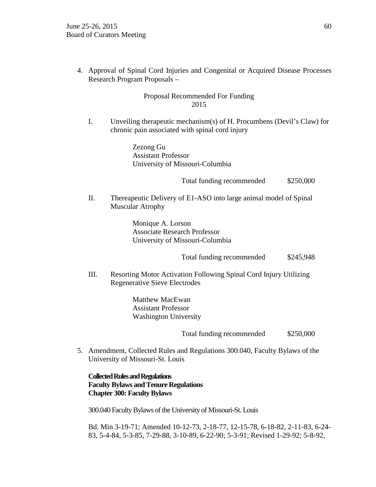4. Approval of Spinal Cord Injuries and Congenital or Acquired Disease Processes Research Program Proposals –

# Proposal Recommended For Funding 2015

I. Unveiling therapeutic mechanism(s) of H. Procumbens (Devil's Claw) for chronic pain associated with spinal cord injury

> Zezong Gu Assistant Professor University of Missouri-Columbia

> > Total funding recommended \$250,000

II. Thereapeutic Delivery of E1-ASO into large animal model of Spinal Muscular Atrophy

> Monique A. Lorson Associate Research Professor University of Missouri-Columbia

> > Total funding recommended \$245,948

III. Resorting Motor Activation Following Spinal Cord Injury Utilizing Regenerative Sieve Electrodes

> Matthew MacEwan Assistant Professor Washington University

> > Total funding recommended \$250,000

5. Amendment, Collected Rules and Regulations 300.040, Faculty Bylaws of the University of Missouri-St. Louis

# **Collected Rules and Regulations Faculty Bylaws and Tenure Regulations Chapter 300: Faculty Bylaws**

300.040 Faculty Bylaws of the University of Missouri-St. Louis

Bd. Min 3-19-71; Amended 10-12-73, 2-18-77, 12-15-78, 6-18-82, 2-11-83, 6-24- 83, 5-4-84, 5-3-85, 7-29-88, 3-10-89, 6-22-90; 5-3-91; Revised 1-29-92; 5-8-92,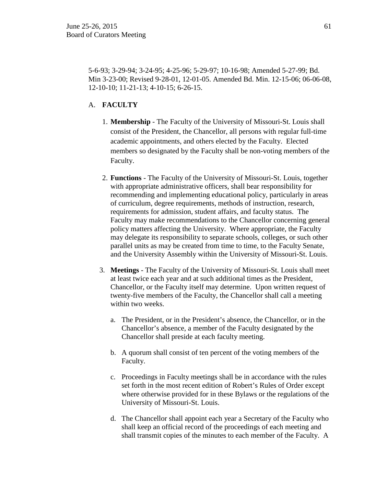5-6-93; 3-29-94; 3-24-95; 4-25-96; 5-29-97; 10-16-98; Amended 5-27-99; Bd. Min 3-23-00; Revised 9-28-01, 12-01-05. Amended Bd. Min. 12-15-06; 06-06-08, 12-10-10; 11-21-13; 4-10-15; 6-26-15.

### A. **FACULTY**

- 1. **Membership** The Faculty of the University of Missouri-St. Louis shall consist of the President, the Chancellor, all persons with regular full-time academic appointments, and others elected by the Faculty. Elected members so designated by the Faculty shall be non-voting members of the Faculty.
- 2. **Functions** The Faculty of the University of Missouri-St. Louis, together with appropriate administrative officers, shall bear responsibility for recommending and implementing educational policy, particularly in areas of curriculum, degree requirements, methods of instruction, research, requirements for admission, student affairs, and faculty status. The Faculty may make recommendations to the Chancellor concerning general policy matters affecting the University. Where appropriate, the Faculty may delegate its responsibility to separate schools, colleges, or such other parallel units as may be created from time to time, to the Faculty Senate, and the University Assembly within the University of Missouri-St. Louis.
- 3. **Meetings** The Faculty of the University of Missouri-St. Louis shall meet at least twice each year and at such additional times as the President, Chancellor, or the Faculty itself may determine. Upon written request of twenty-five members of the Faculty, the Chancellor shall call a meeting within two weeks.
	- a. The President, or in the President's absence, the Chancellor, or in the Chancellor's absence, a member of the Faculty designated by the Chancellor shall preside at each faculty meeting.
	- b. A quorum shall consist of ten percent of the voting members of the Faculty.
	- c. Proceedings in Faculty meetings shall be in accordance with the rules set forth in the most recent edition of Robert's Rules of Order except where otherwise provided for in these Bylaws or the regulations of the University of Missouri-St. Louis.
	- d. The Chancellor shall appoint each year a Secretary of the Faculty who shall keep an official record of the proceedings of each meeting and shall transmit copies of the minutes to each member of the Faculty. A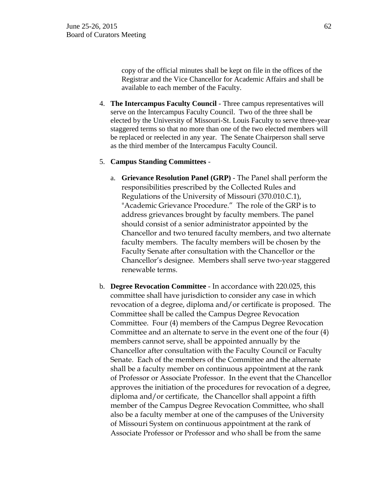copy of the official minutes shall be kept on file in the offices of the Registrar and the Vice Chancellor for Academic Affairs and shall be available to each member of the Faculty.

4. **The Intercampus Faculty Council** - Three campus representatives will serve on the Intercampus Faculty Council. Two of the three shall be elected by the University of Missouri-St. Louis Faculty to serve three-year staggered terms so that no more than one of the two elected members will be replaced or reelected in any year. The Senate Chairperson shall serve as the third member of the Intercampus Faculty Council.

### 5. **Campus Standing Committees** -

- a. **Grievance Resolution Panel (GRP)** The Panel shall perform the responsibilities prescribed by the Collected Rules and Regulations of the University of Missouri (370.010.C.1), "Academic Grievance Procedure." The role of the GRP is to address grievances brought by faculty members. The panel should consist of a senior administrator appointed by the Chancellor and two tenured faculty members, and two alternate faculty members. The faculty members will be chosen by the Faculty Senate after consultation with the Chancellor or the Chancellor's designee. Members shall serve two-year staggered renewable terms.
- b. **Degree Revocation Committee** In accordance with 220.025, this committee shall have jurisdiction to consider any case in which revocation of a degree, diploma and/or certificate is proposed. The Committee shall be called the Campus Degree Revocation Committee. Four (4) members of the Campus Degree Revocation Committee and an alternate to serve in the event one of the four (4) members cannot serve, shall be appointed annually by the Chancellor after consultation with the Faculty Council or Faculty Senate. Each of the members of the Committee and the alternate shall be a faculty member on continuous appointment at the rank of Professor or Associate Professor. In the event that the Chancellor approves the initiation of the procedures for revocation of a degree, diploma and/or certificate, the Chancellor shall appoint a fifth member of the Campus Degree Revocation Committee, who shall also be a faculty member at one of the campuses of the University of Missouri System on continuous appointment at the rank of Associate Professor or Professor and who shall be from the same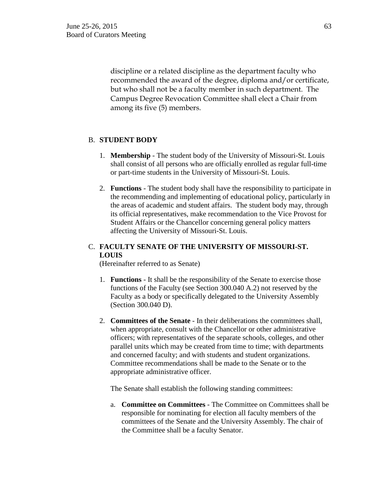discipline or a related discipline as the department faculty who recommended the award of the degree, diploma and/or certificate, but who shall not be a faculty member in such department. The Campus Degree Revocation Committee shall elect a Chair from among its five (5) members.

### B. **STUDENT BODY**

- 1. **Membership** The student body of the University of Missouri-St. Louis shall consist of all persons who are officially enrolled as regular full-time or part-time students in the University of Missouri-St. Louis.
- 2. **Functions** The student body shall have the responsibility to participate in the recommending and implementing of educational policy, particularly in the areas of academic and student affairs. The student body may, through its official representatives, make recommendation to the Vice Provost for Student Affairs or the Chancellor concerning general policy matters affecting the University of Missouri-St. Louis.

# C. **FACULTY SENATE OF THE UNIVERSITY OF MISSOURI-ST. LOUIS**

(Hereinafter referred to as Senate)

- 1. **Functions** It shall be the responsibility of the Senate to exercise those functions of the Faculty (see Section 300.040 A.2) not reserved by the Faculty as a body or specifically delegated to the University Assembly (Section 300.040 D).
- 2. **Committees of the Senate** In their deliberations the committees shall, when appropriate, consult with the Chancellor or other administrative officers; with representatives of the separate schools, colleges, and other parallel units which may be created from time to time; with departments and concerned faculty; and with students and student organizations. Committee recommendations shall be made to the Senate or to the appropriate administrative officer.

The Senate shall establish the following standing committees:

a. **Committee on Committees** - The Committee on Committees shall be responsible for nominating for election all faculty members of the committees of the Senate and the University Assembly. The chair of the Committee shall be a faculty Senator.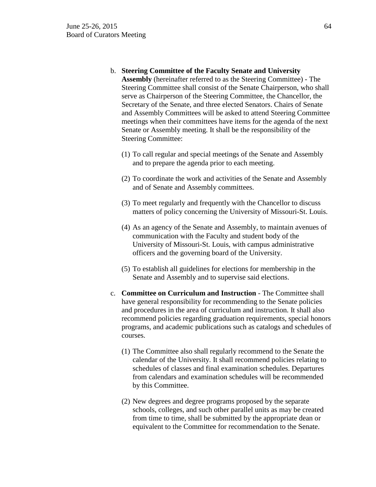- b. **Steering Committee of the Faculty Senate and University Assembly** (hereinafter referred to as the Steering Committee) - The Steering Committee shall consist of the Senate Chairperson, who shall serve as Chairperson of the Steering Committee, the Chancellor, the Secretary of the Senate, and three elected Senators. Chairs of Senate and Assembly Committees will be asked to attend Steering Committee meetings when their committees have items for the agenda of the next Senate or Assembly meeting. It shall be the responsibility of the Steering Committee:
	- (1) To call regular and special meetings of the Senate and Assembly and to prepare the agenda prior to each meeting.
	- (2) To coordinate the work and activities of the Senate and Assembly and of Senate and Assembly committees.
	- (3) To meet regularly and frequently with the Chancellor to discuss matters of policy concerning the University of Missouri-St. Louis.
	- (4) As an agency of the Senate and Assembly, to maintain avenues of communication with the Faculty and student body of the University of Missouri-St. Louis, with campus administrative officers and the governing board of the University.
	- (5) To establish all guidelines for elections for membership in the Senate and Assembly and to supervise said elections.
- c. **Committee on Curriculum and Instruction** The Committee shall have general responsibility for recommending to the Senate policies and procedures in the area of curriculum and instruction. It shall also recommend policies regarding graduation requirements, special honors programs, and academic publications such as catalogs and schedules of courses.
	- (1) The Committee also shall regularly recommend to the Senate the calendar of the University. It shall recommend policies relating to schedules of classes and final examination schedules. Departures from calendars and examination schedules will be recommended by this Committee.
	- (2) New degrees and degree programs proposed by the separate schools, colleges, and such other parallel units as may be created from time to time, shall be submitted by the appropriate dean or equivalent to the Committee for recommendation to the Senate.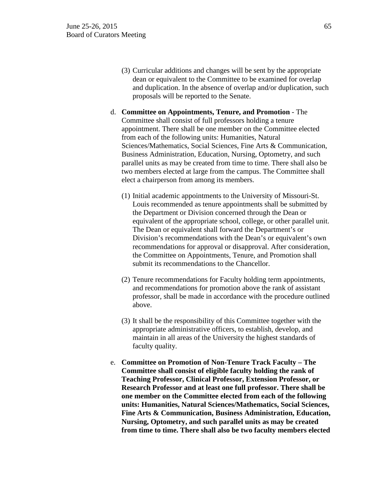- (3) Curricular additions and changes will be sent by the appropriate dean or equivalent to the Committee to be examined for overlap and duplication. In the absence of overlap and/or duplication, such proposals will be reported to the Senate.
- d. **Committee on Appointments, Tenure, and Promotion** The Committee shall consist of full professors holding a tenure appointment. There shall be one member on the Committee elected from each of the following units: Humanities, Natural Sciences/Mathematics, Social Sciences, Fine Arts & Communication, Business Administration, Education, Nursing, Optometry, and such parallel units as may be created from time to time. There shall also be two members elected at large from the campus. The Committee shall elect a chairperson from among its members.
	- (1) Initial academic appointments to the University of Missouri-St. Louis recommended as tenure appointments shall be submitted by the Department or Division concerned through the Dean or equivalent of the appropriate school, college, or other parallel unit. The Dean or equivalent shall forward the Department's or Division's recommendations with the Dean's or equivalent's own recommendations for approval or disapproval. After consideration, the Committee on Appointments, Tenure, and Promotion shall submit its recommendations to the Chancellor.
	- (2) Tenure recommendations for Faculty holding term appointments, and recommendations for promotion above the rank of assistant professor, shall be made in accordance with the procedure outlined above.
	- (3) It shall be the responsibility of this Committee together with the appropriate administrative officers, to establish, develop, and maintain in all areas of the University the highest standards of faculty quality.
- e. **Committee on Promotion of Non-Tenure Track Faculty – The Committee shall consist of eligible faculty holding the rank of Teaching Professor, Clinical Professor, Extension Professor, or Research Professor and at least one full professor. There shall be one member on the Committee elected from each of the following units: Humanities, Natural Sciences/Mathematics, Social Sciences, Fine Arts & Communication, Business Administration, Education, Nursing, Optometry, and such parallel units as may be created from time to time. There shall also be two faculty members elected**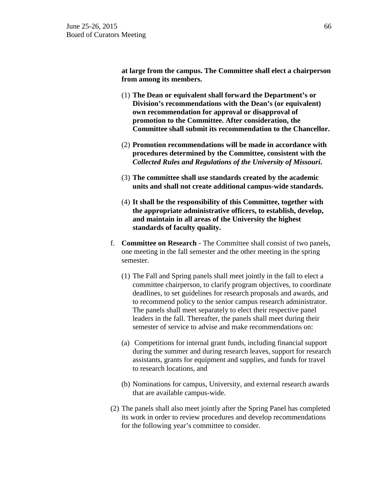**at large from the campus. The Committee shall elect a chairperson from among its members.**

- (1) **The Dean or equivalent shall forward the Department's or Division's recommendations with the Dean's (or equivalent) own recommendation for approval or disapproval of promotion to the Committee. After consideration, the Committee shall submit its recommendation to the Chancellor.**
- (2) **Promotion recommendations will be made in accordance with procedures determined by the Committee, consistent with the**  *Collected Rules and Regulations of the University of Missouri***.**
- (3) **The committee shall use standards created by the academic units and shall not create additional campus-wide standards.**
- (4) **It shall be the responsibility of this Committee, together with the appropriate administrative officers, to establish, develop, and maintain in all areas of the University the highest standards of faculty quality.**
- f. **Committee on Research** The Committee shall consist of two panels, one meeting in the fall semester and the other meeting in the spring semester.
	- (1) The Fall and Spring panels shall meet jointly in the fall to elect a committee chairperson, to clarify program objectives, to coordinate deadlines, to set guidelines for research proposals and awards, and to recommend policy to the senior campus research administrator. The panels shall meet separately to elect their respective panel leaders in the fall. Thereafter, the panels shall meet during their semester of service to advise and make recommendations on:
	- (a) Competitions for internal grant funds, including financial support during the summer and during research leaves, support for research assistants, grants for equipment and supplies, and funds for travel to research locations, and
	- (b) Nominations for campus, University, and external research awards that are available campus-wide.
- (2) The panels shall also meet jointly after the Spring Panel has completed its work in order to review procedures and develop recommendations for the following year's committee to consider.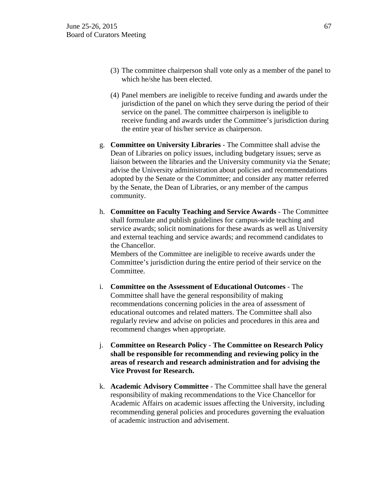- (3) The committee chairperson shall vote only as a member of the panel to which he/she has been elected.
- (4) Panel members are ineligible to receive funding and awards under the jurisdiction of the panel on which they serve during the period of their service on the panel. The committee chairperson is ineligible to receive funding and awards under the Committee's jurisdiction during the entire year of his/her service as chairperson.
- g. **Committee on University Libraries**  The Committee shall advise the Dean of Libraries on policy issues, including budgetary issues; serve as liaison between the libraries and the University community via the Senate; advise the University administration about policies and recommendations adopted by the Senate or the Committee; and consider any matter referred by the Senate, the Dean of Libraries, or any member of the campus community.
- h. **Committee on Faculty Teaching and Service Awards** The Committee shall formulate and publish guidelines for campus-wide teaching and service awards; solicit nominations for these awards as well as University and external teaching and service awards; and recommend candidates to the Chancellor.

Members of the Committee are ineligible to receive awards under the Committee's jurisdiction during the entire period of their service on the Committee.

- i. **Committee on the Assessment of Educational Outcomes** The Committee shall have the general responsibility of making recommendations concerning policies in the area of assessment of educational outcomes and related matters. The Committee shall also regularly review and advise on policies and procedures in this area and recommend changes when appropriate.
- j. **Committee on Research Policy - The Committee on Research Policy shall be responsible for recommending and reviewing policy in the areas of research and research administration and for advising the Vice Provost for Research.**
- k. **Academic Advisory Committee** The Committee shall have the general responsibility of making recommendations to the Vice Chancellor for Academic Affairs on academic issues affecting the University, including recommending general policies and procedures governing the evaluation of academic instruction and advisement.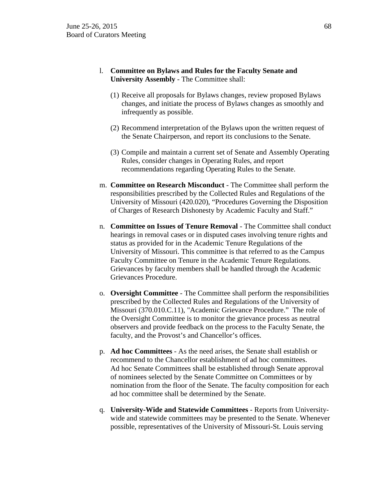- l. **Committee on Bylaws and Rules for the Faculty Senate and University Assembly** - The Committee shall:
	- (1) Receive all proposals for Bylaws changes, review proposed Bylaws changes, and initiate the process of Bylaws changes as smoothly and infrequently as possible.
	- (2) Recommend interpretation of the Bylaws upon the written request of the Senate Chairperson, and report its conclusions to the Senate.
	- (3) Compile and maintain a current set of Senate and Assembly Operating Rules, consider changes in Operating Rules, and report recommendations regarding Operating Rules to the Senate.
- m. **Committee on Research Misconduct** The Committee shall perform the responsibilities prescribed by the Collected Rules and Regulations of the University of Missouri (420.020), "Procedures Governing the Disposition of Charges of Research Dishonesty by Academic Faculty and Staff."
- n. **Committee on Issues of Tenure Removal** The Committee shall conduct hearings in removal cases or in disputed cases involving tenure rights and status as provided for in the Academic Tenure Regulations of the University of Missouri. This committee is that referred to as the Campus Faculty Committee on Tenure in the Academic Tenure Regulations. Grievances by faculty members shall be handled through the Academic Grievances Procedure.
- o. **Oversight Committee** The Committee shall perform the responsibilities prescribed by the Collected Rules and Regulations of the University of Missouri (370.010.C.11), "Academic Grievance Procedure." The role of the Oversight Committee is to monitor the grievance process as neutral observers and provide feedback on the process to the Faculty Senate, the faculty, and the Provost's and Chancellor's offices.
- p. **Ad hoc Committees** As the need arises, the Senate shall establish or recommend to the Chancellor establishment of ad hoc committees. Ad hoc Senate Committees shall be established through Senate approval of nominees selected by the Senate Committee on Committees or by nomination from the floor of the Senate. The faculty composition for each ad hoc committee shall be determined by the Senate.
- q. **University-Wide and Statewide Committees** Reports from Universitywide and statewide committees may be presented to the Senate. Whenever possible, representatives of the University of Missouri-St. Louis serving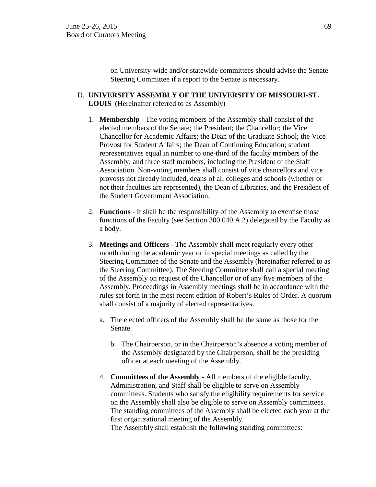on University-wide and/or statewide committees should advise the Senate Steering Committee if a report to the Senate is necessary.

- D. **UNIVERSITY ASSEMBLY OF THE UNIVERSITY OF MISSOURI-ST. LOUIS** (Hereinafter referred to as Assembly)
	- 1. **Membership** The voting members of the Assembly shall consist of the elected members of the Senate; the President; the Chancellor; the Vice Chancellor for Academic Affairs; the Dean of the Graduate School; the Vice Provost for Student Affairs; the Dean of Continuing Education; student representatives equal in number to one-third of the faculty members of the Assembly; and three staff members, including the President of the Staff Association. Non-voting members shall consist of vice chancellors and vice provosts not already included, deans of all colleges and schools (whether or not their faculties are represented), the Dean of Libraries, and the President of the Student Government Association.
	- 2. **Functions** It shall be the responsibility of the Assembly to exercise those functions of the Faculty (see Section 300.040 A.2) delegated by the Faculty as a body.
	- 3. **Meetings and Officers** The Assembly shall meet regularly every other month during the academic year or in special meetings as called by the Steering Committee of the Senate and the Assembly (hereinafter referred to as the Steering Committee). The Steering Committee shall call a special meeting of the Assembly on request of the Chancellor or of any five members of the Assembly. Proceedings in Assembly meetings shall be in accordance with the rules set forth in the most recent edition of Robert's Rules of Order. A quorum shall consist of a majority of elected representatives.
		- a. The elected officers of the Assembly shall be the same as those for the Senate.
			- b. The Chairperson, or in the Chairperson's absence a voting member of the Assembly designated by the Chairperson, shall be the presiding officer at each meeting of the Assembly.
		- 4. **Committees of the Assembly** All members of the eligible faculty, Administration, and Staff shall be eligible to serve on Assembly committees. Students who satisfy the eligibility requirements for service on the Assembly shall also be eligible to serve on Assembly committees. The standing committees of the Assembly shall be elected each year at the first organizational meeting of the Assembly.

The Assembly shall establish the following standing committees: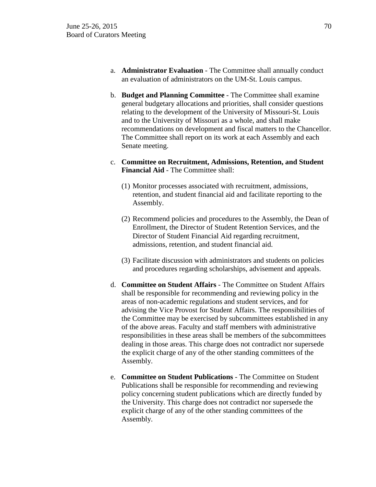- a. **Administrator Evaluation** The Committee shall annually conduct an evaluation of administrators on the UM-St. Louis campus.
- b. **Budget and Planning Committee** The Committee shall examine general budgetary allocations and priorities, shall consider questions relating to the development of the University of Missouri-St. Louis and to the University of Missouri as a whole, and shall make recommendations on development and fiscal matters to the Chancellor. The Committee shall report on its work at each Assembly and each Senate meeting.
- c. **Committee on Recruitment, Admissions, Retention, and Student Financial Aid** - The Committee shall:
	- (1) Monitor processes associated with recruitment, admissions, retention, and student financial aid and facilitate reporting to the Assembly.
	- (2) Recommend policies and procedures to the Assembly, the Dean of Enrollment, the Director of Student Retention Services, and the Director of Student Financial Aid regarding recruitment, admissions, retention, and student financial aid.
	- (3) Facilitate discussion with administrators and students on policies and procedures regarding scholarships, advisement and appeals.
- d. **Committee on Student Affairs** The Committee on Student Affairs shall be responsible for recommending and reviewing policy in the areas of non-academic regulations and student services, and for advising the Vice Provost for Student Affairs. The responsibilities of the Committee may be exercised by subcommittees established in any of the above areas. Faculty and staff members with administrative responsibilities in these areas shall be members of the subcommittees dealing in those areas. This charge does not contradict nor supersede the explicit charge of any of the other standing committees of the Assembly.
- e. **Committee on Student Publications** The Committee on Student Publications shall be responsible for recommending and reviewing policy concerning student publications which are directly funded by the University. This charge does not contradict nor supersede the explicit charge of any of the other standing committees of the Assembly.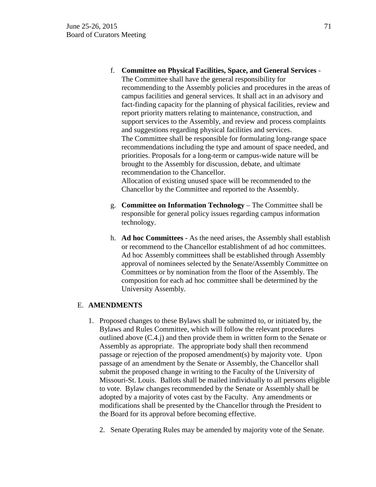f. **Committee on Physical Facilities, Space, and General Services** -

The Committee shall have the general responsibility for recommending to the Assembly policies and procedures in the areas of campus facilities and general services. It shall act in an advisory and fact-finding capacity for the planning of physical facilities, review and report priority matters relating to maintenance, construction, and support services to the Assembly, and review and process complaints and suggestions regarding physical facilities and services. The Committee shall be responsible for formulating long-range space recommendations including the type and amount of space needed, and priorities. Proposals for a long-term or campus-wide nature will be brought to the Assembly for discussion, debate, and ultimate recommendation to the Chancellor.

Allocation of existing unused space will be recommended to the Chancellor by the Committee and reported to the Assembly.

- g. **Committee on Information Technology** The Committee shall be responsible for general policy issues regarding campus information technology.
- h. **Ad hoc Committees** As the need arises, the Assembly shall establish or recommend to the Chancellor establishment of ad hoc committees. Ad hoc Assembly committees shall be established through Assembly approval of nominees selected by the Senate/Assembly Committee on Committees or by nomination from the floor of the Assembly. The composition for each ad hoc committee shall be determined by the University Assembly.

# E. **AMENDMENTS**

- 1. Proposed changes to these Bylaws shall be submitted to, or initiated by, the Bylaws and Rules Committee, which will follow the relevant procedures outlined above (C.4.j) and then provide them in written form to the Senate or Assembly as appropriate. The appropriate body shall then recommend passage or rejection of the proposed amendment(s) by majority vote. Upon passage of an amendment by the Senate or Assembly, the Chancellor shall submit the proposed change in writing to the Faculty of the University of Missouri-St. Louis. Ballots shall be mailed individually to all persons eligible to vote. Bylaw changes recommended by the Senate or Assembly shall be adopted by a majority of votes cast by the Faculty. Any amendments or modifications shall be presented by the Chancellor through the President to the Board for its approval before becoming effective.
	- 2. Senate Operating Rules may be amended by majority vote of the Senate.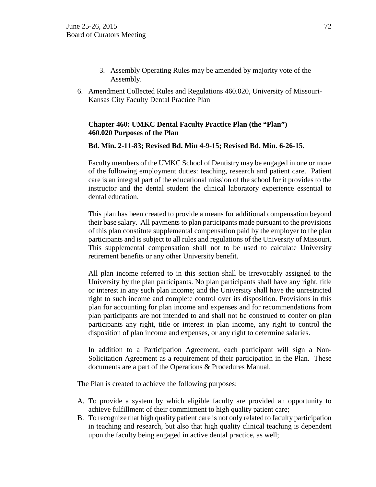- 3. Assembly Operating Rules may be amended by majority vote of the Assembly.
- 6. Amendment Collected Rules and Regulations 460.020, University of Missouri-Kansas City Faculty Dental Practice Plan

# **Chapter 460: UMKC Dental Faculty Practice Plan (the "Plan") 460.020 Purposes of the Plan**

### **Bd. Min. 2-11-83; Revised Bd. Min 4-9-15; Revised Bd. Min. 6-26-15.**

Faculty members of the UMKC School of Dentistry may be engaged in one or more of the following employment duties: teaching, research and patient care. Patient care is an integral part of the educational mission of the school for it provides to the instructor and the dental student the clinical laboratory experience essential to dental education.

This plan has been created to provide a means for additional compensation beyond their base salary. All payments to plan participants made pursuant to the provisions of this plan constitute supplemental compensation paid by the employer to the plan participants and is subject to all rules and regulations of the University of Missouri. This supplemental compensation shall not to be used to calculate University retirement benefits or any other University benefit.

All plan income referred to in this section shall be irrevocably assigned to the University by the plan participants. No plan participants shall have any right, title or interest in any such plan income; and the University shall have the unrestricted right to such income and complete control over its disposition. Provisions in this plan for accounting for plan income and expenses and for recommendations from plan participants are not intended to and shall not be construed to confer on plan participants any right, title or interest in plan income, any right to control the disposition of plan income and expenses, or any right to determine salaries.

In addition to a Participation Agreement, each participant will sign a Non-Solicitation Agreement as a requirement of their participation in the Plan. These documents are a part of the Operations & Procedures Manual.

The Plan is created to achieve the following purposes:

- A. To provide a system by which eligible faculty are provided an opportunity to achieve fulfillment of their commitment to high quality patient care;
- B. To recognize that high quality patient care is not only related to faculty participation in teaching and research, but also that high quality clinical teaching is dependent upon the faculty being engaged in active dental practice, as well;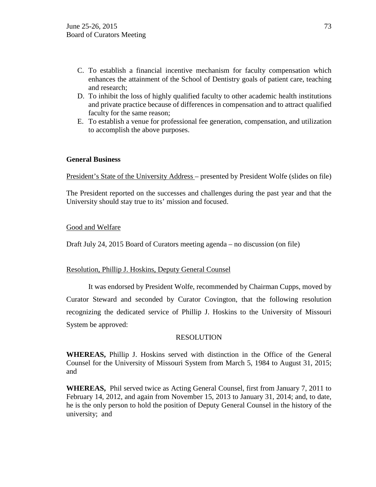- C. To establish a financial incentive mechanism for faculty compensation which enhances the attainment of the School of Dentistry goals of patient care, teaching and research;
- D. To inhibit the loss of highly qualified faculty to other academic health institutions and private practice because of differences in compensation and to attract qualified faculty for the same reason;
- E. To establish a venue for professional fee generation, compensation, and utilization to accomplish the above purposes.

## **General Business**

President's State of the University Address – presented by President Wolfe (slides on file)

The President reported on the successes and challenges during the past year and that the University should stay true to its' mission and focused.

### Good and Welfare

Draft July 24, 2015 Board of Curators meeting agenda – no discussion (on file)

### Resolution, Phillip J. Hoskins, Deputy General Counsel

It was endorsed by President Wolfe, recommended by Chairman Cupps, moved by Curator Steward and seconded by Curator Covington, that the following resolution recognizing the dedicated service of Phillip J. Hoskins to the University of Missouri System be approved:

### RESOLUTION

**WHEREAS,** Phillip J. Hoskins served with distinction in the Office of the General Counsel for the University of Missouri System from March 5, 1984 to August 31, 2015; and

**WHEREAS,** Phil served twice as Acting General Counsel, first from January 7, 2011 to February 14, 2012, and again from November 15, 2013 to January 31, 2014; and, to date, he is the only person to hold the position of Deputy General Counsel in the history of the university; and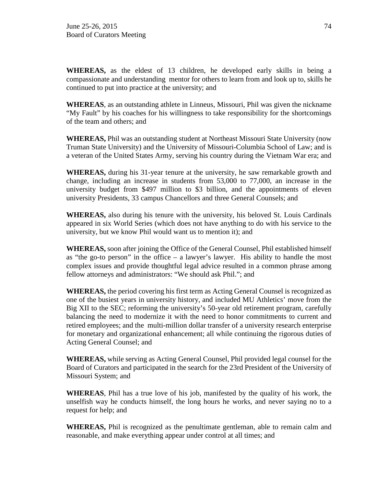**WHEREAS,** as the eldest of 13 children, he developed early skills in being a compassionate and understanding mentor for others to learn from and look up to, skills he continued to put into practice at the university; and

**WHEREAS**, as an outstanding athlete in Linneus, Missouri, Phil was given the nickname "My Fault" by his coaches for his willingness to take responsibility for the shortcomings of the team and others; and

**WHEREAS,** Phil was an outstanding student at Northeast Missouri State University (now Truman State University) and the University of Missouri-Columbia School of Law; and is a veteran of the United States Army, serving his country during the Vietnam War era; and

**WHEREAS,** during his 31-year tenure at the university, he saw remarkable growth and change, including an increase in students from 53,000 to 77,000, an increase in the university budget from \$497 million to \$3 billion, and the appointments of eleven university Presidents, 33 campus Chancellors and three General Counsels; and

**WHEREAS,** also during his tenure with the university, his beloved St. Louis Cardinals appeared in six World Series (which does not have anything to do with his service to the university, but we know Phil would want us to mention it); and

**WHEREAS,** soon after joining the Office of the General Counsel, Phil established himself as "the go-to person" in the office – a lawyer's lawyer. His ability to handle the most complex issues and provide thoughtful legal advice resulted in a common phrase among fellow attorneys and administrators: "We should ask Phil."; and

**WHEREAS,** the period covering his first term as Acting General Counsel is recognized as one of the busiest years in university history, and included MU Athletics' move from the Big XII to the SEC; reforming the university's 50-year old retirement program, carefully balancing the need to modernize it with the need to honor commitments to current and retired employees; and the multi-million dollar transfer of a university research enterprise for monetary and organizational enhancement; all while continuing the rigorous duties of Acting General Counsel; and

**WHEREAS,** while serving as Acting General Counsel, Phil provided legal counsel for the Board of Curators and participated in the search for the 23rd President of the University of Missouri System; and

**WHEREAS**, Phil has a true love of his job, manifested by the quality of his work, the unselfish way he conducts himself, the long hours he works, and never saying no to a request for help; and

**WHEREAS,** Phil is recognized as the penultimate gentleman, able to remain calm and reasonable, and make everything appear under control at all times; and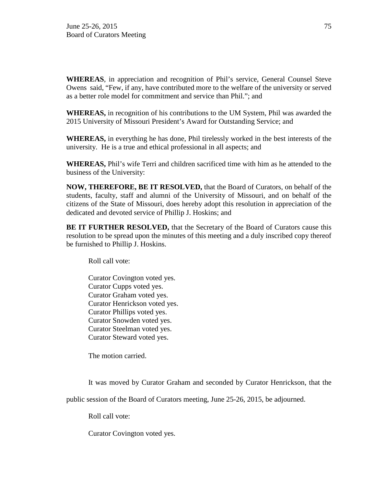**WHEREAS**, in appreciation and recognition of Phil's service, General Counsel Steve Owens said, "Few, if any, have contributed more to the welfare of the university or served as a better role model for commitment and service than Phil."; and

**WHEREAS,** in recognition of his contributions to the UM System, Phil was awarded the 2015 University of Missouri President's Award for Outstanding Service; and

**WHEREAS,** in everything he has done, Phil tirelessly worked in the best interests of the university. He is a true and ethical professional in all aspects; and

**WHEREAS,** Phil's wife Terri and children sacrificed time with him as he attended to the business of the University:

**NOW, THEREFORE, BE IT RESOLVED,** that the Board of Curators, on behalf of the students, faculty, staff and alumni of the University of Missouri, and on behalf of the citizens of the State of Missouri, does hereby adopt this resolution in appreciation of the dedicated and devoted service of Phillip J. Hoskins; and

**BE IT FURTHER RESOLVED,** that the Secretary of the Board of Curators cause this resolution to be spread upon the minutes of this meeting and a duly inscribed copy thereof be furnished to Phillip J. Hoskins.

Roll call vote:

Curator Covington voted yes. Curator Cupps voted yes. Curator Graham voted yes. Curator Henrickson voted yes. Curator Phillips voted yes. Curator Snowden voted yes. Curator Steelman voted yes. Curator Steward voted yes.

The motion carried.

It was moved by Curator Graham and seconded by Curator Henrickson, that the

public session of the Board of Curators meeting, June 25-26, 2015, be adjourned.

Roll call vote:

Curator Covington voted yes.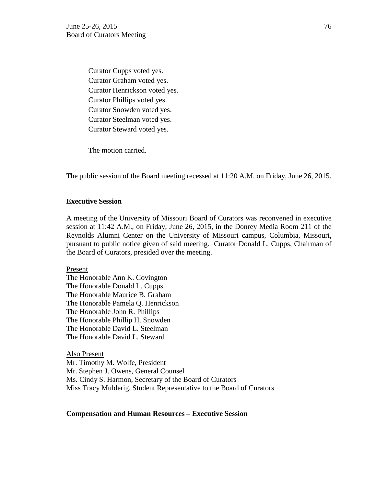Curator Cupps voted yes. Curator Graham voted yes. Curator Henrickson voted yes. Curator Phillips voted yes. Curator Snowden voted yes. Curator Steelman voted yes. Curator Steward voted yes.

The motion carried.

The public session of the Board meeting recessed at 11:20 A.M. on Friday, June 26, 2015.

### **Executive Session**

A meeting of the University of Missouri Board of Curators was reconvened in executive session at 11:42 A.M., on Friday, June 26, 2015, in the Donrey Media Room 211 of the Reynolds Alumni Center on the University of Missouri campus, Columbia, Missouri, pursuant to public notice given of said meeting. Curator Donald L. Cupps, Chairman of the Board of Curators, presided over the meeting.

Present

The Honorable Ann K. Covington The Honorable Donald L. Cupps The Honorable Maurice B. Graham The Honorable Pamela Q. Henrickson The Honorable John R. Phillips The Honorable Phillip H. Snowden The Honorable David L. Steelman The Honorable David L. Steward

Also Present Mr. Timothy M. Wolfe, President Mr. Stephen J. Owens, General Counsel Ms. Cindy S. Harmon, Secretary of the Board of Curators Miss Tracy Mulderig, Student Representative to the Board of Curators

#### **Compensation and Human Resources – Executive Session**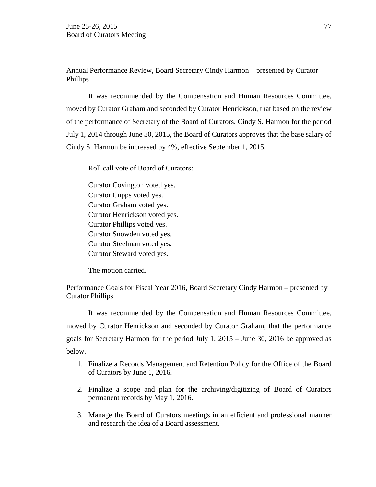# Annual Performance Review, Board Secretary Cindy Harmon – presented by Curator Phillips

It was recommended by the Compensation and Human Resources Committee, moved by Curator Graham and seconded by Curator Henrickson, that based on the review of the performance of Secretary of the Board of Curators, Cindy S. Harmon for the period July 1, 2014 through June 30, 2015, the Board of Curators approves that the base salary of Cindy S. Harmon be increased by 4%, effective September 1, 2015.

Roll call vote of Board of Curators:

Curator Covington voted yes. Curator Cupps voted yes. Curator Graham voted yes. Curator Henrickson voted yes. Curator Phillips voted yes. Curator Snowden voted yes. Curator Steelman voted yes. Curator Steward voted yes.

The motion carried.

# Performance Goals for Fiscal Year 2016, Board Secretary Cindy Harmon – presented by Curator Phillips

It was recommended by the Compensation and Human Resources Committee, moved by Curator Henrickson and seconded by Curator Graham, that the performance goals for Secretary Harmon for the period July 1, 2015 – June 30, 2016 be approved as below.

- 1. Finalize a Records Management and Retention Policy for the Office of the Board of Curators by June 1, 2016.
- 2. Finalize a scope and plan for the archiving/digitizing of Board of Curators permanent records by May 1, 2016.
- 3. Manage the Board of Curators meetings in an efficient and professional manner and research the idea of a Board assessment.